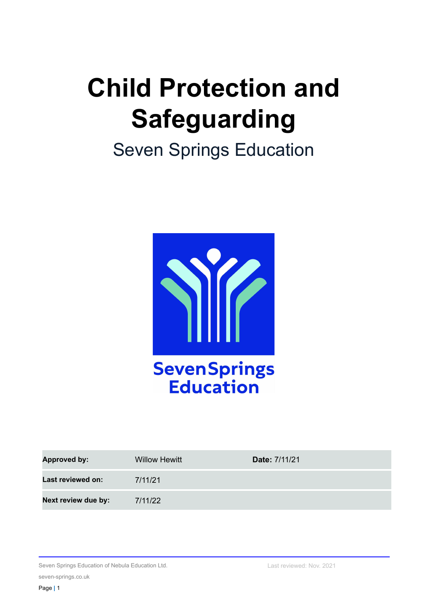# **Child Protection and Safeguarding**

## Seven Springs Education



| <b>Approved by:</b> | <b>Willow Hewitt</b> | Date: 7/11/21 |
|---------------------|----------------------|---------------|
| Last reviewed on:   | 7/11/21              |               |
| Next review due by: | 7/11/22              |               |

Seven Springs Education of Nebula Education Ltd.

seven-springs.co.uk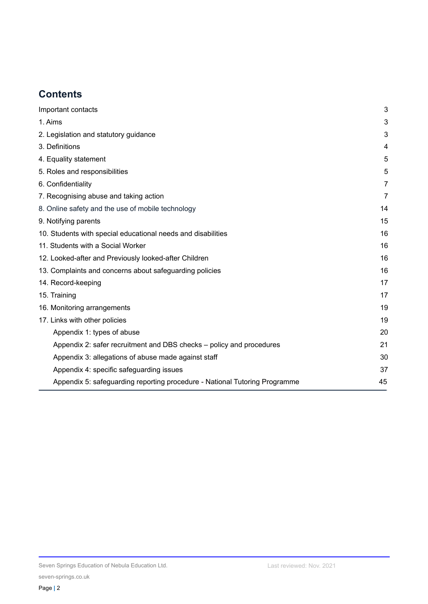## **Contents**

<span id="page-1-0"></span>

| Important contacts                                                         | 3              |
|----------------------------------------------------------------------------|----------------|
| 1. Aims                                                                    | 3              |
| 2. Legislation and statutory guidance                                      | 3              |
| 3. Definitions                                                             | 4              |
| 4. Equality statement                                                      | 5              |
| 5. Roles and responsibilities                                              | 5              |
| 6. Confidentiality                                                         | 7              |
| 7. Recognising abuse and taking action                                     | $\overline{7}$ |
| 8. Online safety and the use of mobile technology                          | 14             |
| 9. Notifying parents                                                       | 15             |
| 10. Students with special educational needs and disabilities               | 16             |
| 11. Students with a Social Worker                                          | 16             |
| 12. Looked-after and Previously looked-after Children                      | 16             |
| 13. Complaints and concerns about safeguarding policies                    | 16             |
| 14. Record-keeping                                                         | 17             |
| 15. Training                                                               | 17             |
| 16. Monitoring arrangements                                                | 19             |
| 17. Links with other policies                                              | 19             |
| Appendix 1: types of abuse                                                 | 20             |
| Appendix 2: safer recruitment and DBS checks - policy and procedures       | 21             |
| Appendix 3: allegations of abuse made against staff                        | 30             |
| Appendix 4: specific safeguarding issues                                   | 37             |
| Appendix 5: safeguarding reporting procedure - National Tutoring Programme | 45             |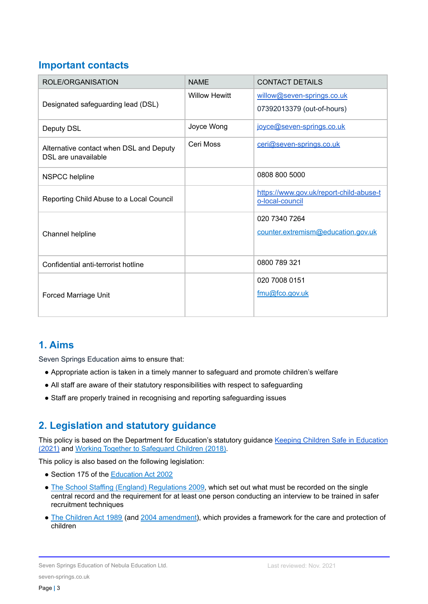## **Important contacts**

| ROLE/ORGANISATION                                              | <b>NAME</b>          | <b>CONTACT DETAILS</b>                                     |
|----------------------------------------------------------------|----------------------|------------------------------------------------------------|
| Designated safeguarding lead (DSL)                             | <b>Willow Hewitt</b> | willow@seven-springs.co.uk                                 |
|                                                                |                      | 07392013379 (out-of-hours)                                 |
| Deputy DSL                                                     | Joyce Wong           | joyce@seven-springs.co.uk                                  |
| Alternative contact when DSL and Deputy<br>DSL are unavailable | Ceri Moss            | ceri@seven-springs.co.uk                                   |
| <b>NSPCC</b> helpline                                          |                      | 0808 800 5000                                              |
| Reporting Child Abuse to a Local Council                       |                      | https://www.gov.uk/report-child-abuse-t<br>o-local-council |
|                                                                |                      | 020 7340 7264                                              |
| Channel helpline                                               |                      | counter.extremism@education.gov.uk                         |
| Confidential anti-terrorist hotline                            |                      | 0800 789 321                                               |
|                                                                |                      | 020 7008 0151                                              |
| Forced Marriage Unit                                           |                      | fmu@fco.gov.uk                                             |

## **1. Aims**

Seven Springs Education aims to ensure that:

- Appropriate action is taken in a timely manner to safeguard and promote children's welfare
- All staff are aware of their statutory responsibilities with respect to safeguarding
- <span id="page-2-0"></span>• Staff are properly trained in recognising and reporting safeguarding issues

## **2. Legislation and statutory guidance**

This policy is based on the Department for [Education](https://assets.publishing.service.gov.uk/government/uploads/system/uploads/attachment_data/file/1021914/KCSIE_2021_September_guidance.pdf)'s statutory guidance Keeping Children Safe in Education [\(2021\)](https://assets.publishing.service.gov.uk/government/uploads/system/uploads/attachment_data/file/1021914/KCSIE_2021_September_guidance.pdf) and Working Together to [Safeguard](https://www.gov.uk/government/publications/working-together-to-safeguard-children--2) Children (2018).

This policy is also based on the following legislation:

- Section 175 of the [Education](http://www.legislation.gov.uk/ukpga/2002/32/section/175) Act 2002
- The School Staffing (England) [Regulations](http://www.legislation.gov.uk/uksi/2009/2680/contents/made) 2009, which set out what must be recorded on the single central record and the requirement for at least one person conducting an interview to be trained in safer recruitment techniques
- The [Children](http://www.legislation.gov.uk/ukpga/1989/41) Act 1989 (and 2004 [amendment\)](http://www.legislation.gov.uk/ukpga/2004/31/contents), which provides a framework for the care and protection of children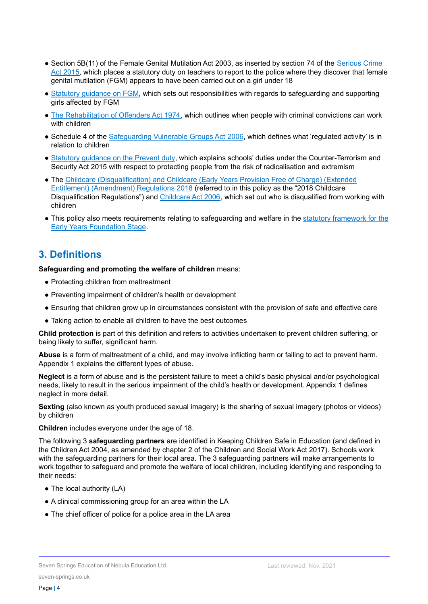- Section 5B(11) of the Female Genital Mutilation Act 2003, as inserted by section 74 of the [Serious](http://www.legislation.gov.uk/ukpga/2015/9/part/5/crossheading/female-genital-mutilation) Crime Act [2015,](http://www.legislation.gov.uk/ukpga/2015/9/part/5/crossheading/female-genital-mutilation) which places a statutory duty on teachers to report to the police where they discover that female genital mutilation (FGM) appears to have been carried out on a girl under 18
- Statutory [guidance](https://www.gov.uk/government/publications/multi-agency-statutory-guidance-on-female-genital-mutilation) on FGM, which sets out responsibilities with regards to safeguarding and supporting girls affected by FGM
- The [Rehabilitation](http://www.legislation.gov.uk/ukpga/1974/53) of Offenders Act 1974, which outlines when people with criminal convictions can work with children
- Schedule 4 of the [Safeguarding](http://www.legislation.gov.uk/ukpga/2006/47/schedule/4) Vulnerable Groups Act 2006, which defines what 'regulated activity' is in relation to children
- Statutory [guidance](https://www.gov.uk/government/publications/prevent-duty-guidance) on the Prevent duty, which explains schools' duties under the Counter-Terrorism and Security Act 2015 with respect to protecting people from the risk of radicalisation and extremism
- The Childcare [\(Disqualification\)](http://www.legislation.gov.uk/uksi/2018/794/contents/made) and Childcare (Early Years Provision Free of Charge) (Extended Entitlement) [\(Amendment\)](http://www.legislation.gov.uk/uksi/2018/794/contents/made) Regulations 2018 (referred to in this policy as the "2018 Childcare Disqualification Regulations") and [Childcare](http://www.legislation.gov.uk/ukpga/2006/21/contents) Act 2006, which set out who is disqualified from working with children
- This policy also meets requirements relating to safeguarding and welfare in the statutory [framework](https://www.gov.uk/government/publications/early-years-foundation-stage-framework--2) for the Early Years [Foundation](https://www.gov.uk/government/publications/early-years-foundation-stage-framework--2) Stage.

## <span id="page-3-0"></span>**3. Definitions**

**Safeguarding and promoting the welfare of children** means:

- Protecting children from maltreatment
- Preventing impairment of children's health or development
- Ensuring that children grow up in circumstances consistent with the provision of safe and effective care
- Taking action to enable all children to have the best outcomes

**Child protection** is part of this definition and refers to activities undertaken to prevent children suffering, or being likely to suffer, significant harm.

**Abuse** is a form of maltreatment of a child, and may involve inflicting harm or failing to act to prevent harm. Appendix 1 explains the different types of abuse.

**Neglect** is a form of abuse and is the persistent failure to meet a child's basic physical and/or psychological needs, likely to result in the serious impairment of the child's health or development. Appendix 1 defines neglect in more detail.

**Sexting** (also known as youth produced sexual imagery) is the sharing of sexual imagery (photos or videos) by children

**Children** includes everyone under the age of 18.

The following 3 **safeguarding partners** are identified in Keeping Children Safe in Education (and defined in the Children Act 2004, as amended by chapter 2 of the Children and Social Work Act 2017). Schools work with the safeguarding partners for their local area. The 3 safeguarding partners will make arrangements to work together to safeguard and promote the welfare of local children, including identifying and responding to their needs:

- The local authority (LA)
- A clinical commissioning group for an area within the LA
- The chief officer of police for a police area in the LA area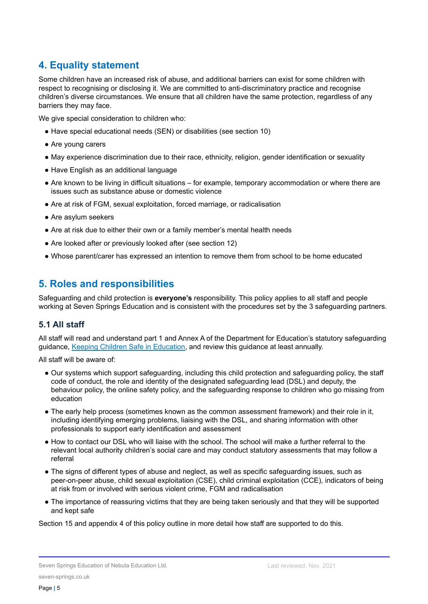## **4. Equality statement**

Some children have an increased risk of abuse, and additional barriers can exist for some children with respect to recognising or disclosing it. We are committed to anti-discriminatory practice and recognise children's diverse circumstances. We ensure that all children have the same protection, regardless of any barriers they may face.

We give special consideration to children who:

- Have special educational needs (SEN) or disabilities (see section 10)
- Are young carers
- May experience discrimination due to their race, ethnicity, religion, gender identification or sexuality
- Have English as an additional language
- Are known to be living in difficult situations for example, temporary accommodation or where there are issues such as substance abuse or domestic violence
- Are at risk of FGM, sexual exploitation, forced marriage, or radicalisation
- Are asylum seekers
- Are at risk due to either their own or a family member's mental health needs
- Are looked after or previously looked after (see section 12)
- Whose parent/carer has expressed an intention to remove them from school to be home educated

## **5. Roles and responsibilities**

Safeguarding and child protection is **everyone's** responsibility. This policy applies to all staff and people working at Seven Springs Education and is consistent with the procedures set by the 3 safeguarding partners.

#### **5.1 All staff**

All staff will read and understand part 1 and Annex A of the Department for Education's statutory safeguarding guidance, Keeping Children Safe in [Education,](https://www.gov.uk/government/publications/keeping-children-safe-in-education--2) and review this guidance at least annually.

All staff will be aware of:

- Our systems which support safeguarding, including this child protection and safeguarding policy, the staff code of conduct, the role and identity of the designated safeguarding lead (DSL) and deputy, the behaviour policy, the online safety policy, and the safeguarding response to children who go missing from education
- The early help process (sometimes known as the common assessment framework) and their role in it, including identifying emerging problems, liaising with the DSL, and sharing information with other professionals to support early identification and assessment
- How to contact our DSL who will liaise with the school. The school will make a further referral to the relevant local authority children's social care and may conduct statutory assessments that may follow a referral
- The signs of different types of abuse and neglect, as well as specific safeguarding issues, such as peer-on-peer abuse, child sexual exploitation (CSE), child criminal exploitation (CCE), indicators of being at risk from or involved with serious violent crime, FGM and radicalisation
- The importance of reassuring victims that they are being taken seriously and that they will be supported and kept safe

Section 15 and appendix 4 of this policy outline in more detail how staff are supported to do this.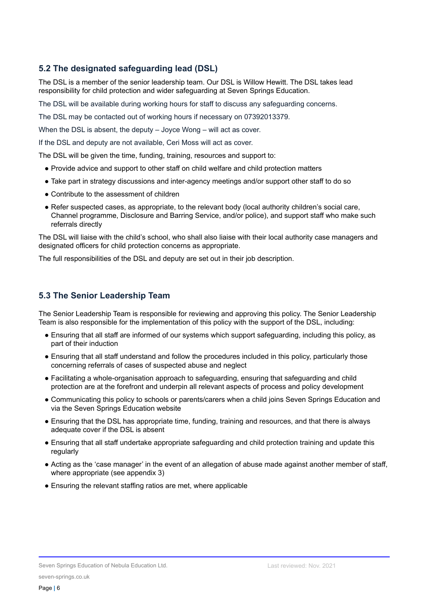## **5.2 The designated safeguarding lead (DSL)**

The DSL is a member of the senior leadership team. Our DSL is Willow Hewitt. The DSL takes lead responsibility for child protection and wider safeguarding at Seven Springs Education.

The DSL will be available during working hours for staff to discuss any safeguarding concerns.

The DSL may be contacted out of working hours if necessary on 07392013379.

When the DSL is absent, the deputy – Joyce Wong – will act as cover.

If the DSL and deputy are not available, Ceri Moss will act as cover.

The DSL will be given the time, funding, training, resources and support to:

- Provide advice and support to other staff on child welfare and child protection matters
- Take part in strategy discussions and inter-agency meetings and/or support other staff to do so
- Contribute to the assessment of children
- Refer suspected cases, as appropriate, to the relevant body (local authority children's social care, Channel programme, Disclosure and Barring Service, and/or police), and support staff who make such referrals directly

The DSL will liaise with the child's school, who shall also liaise with their local authority case managers and designated officers for child protection concerns as appropriate.

The full responsibilities of the DSL and deputy are set out in their job description.

#### **5.3 The Senior Leadership Team**

The Senior Leadership Team is responsible for reviewing and approving this policy. The Senior Leadership Team is also responsible for the implementation of this policy with the support of the DSL, including:

- Ensuring that all staff are informed of our systems which support safeguarding, including this policy, as part of their induction
- Ensuring that all staff understand and follow the procedures included in this policy, particularly those concerning referrals of cases of suspected abuse and neglect
- Facilitating a whole-organisation approach to safeguarding, ensuring that safeguarding and child protection are at the forefront and underpin all relevant aspects of process and policy development
- Communicating this policy to schools or parents/carers when a child joins Seven Springs Education and via the Seven Springs Education website
- Ensuring that the DSL has appropriate time, funding, training and resources, and that there is always adequate cover if the DSL is absent
- Ensuring that all staff undertake appropriate safeguarding and child protection training and update this regularly
- Acting as the 'case manager' in the event of an allegation of abuse made against another member of staff, where appropriate (see appendix 3)
- <span id="page-5-0"></span>● Ensuring the relevant staffing ratios are met, where applicable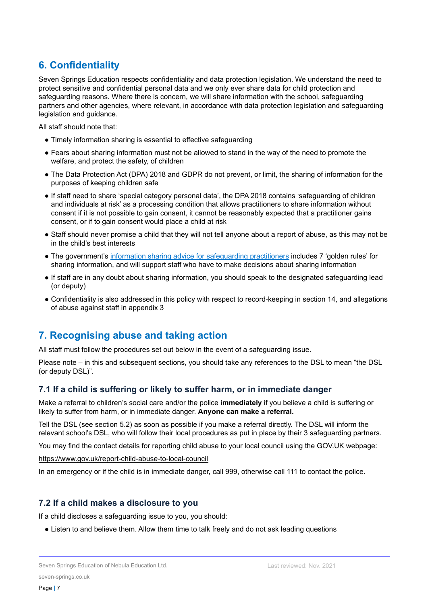## **6. Confidentiality**

Seven Springs Education respects confidentiality and data protection legislation. We understand the need to protect sensitive and confidential personal data and we only ever share data for child protection and safeguarding reasons. Where there is concern, we will share information with the school, safeguarding partners and other agencies, where relevant, in accordance with data protection legislation and safeguarding legislation and guidance.

All staff should note that:

- Timely information sharing is essential to effective safeguarding
- Fears about sharing information must not be allowed to stand in the way of the need to promote the welfare, and protect the safety, of children
- The Data Protection Act (DPA) 2018 and GDPR do not prevent, or limit, the sharing of information for the purposes of keeping children safe
- If staff need to share 'special category personal data', the DPA 2018 contains 'safeguarding of children and individuals at risk' as a processing condition that allows practitioners to share information without consent if it is not possible to gain consent, it cannot be reasonably expected that a practitioner gains consent, or if to gain consent would place a child at risk
- Staff should never promise a child that they will not tell anyone about a report of abuse, as this may not be in the child's best interests
- The government's information sharing advice for [safeguarding](https://www.gov.uk/government/publications/safeguarding-practitioners-information-sharing-advice) practitioners includes 7 'golden rules' for sharing information, and will support staff who have to make decisions about sharing information
- If staff are in any doubt about sharing information, you should speak to the designated safeguarding lead (or deputy)
- Confidentiality is also addressed in this policy with respect to record-keeping in section 14, and allegations of abuse against staff in appendix 3

## <span id="page-6-0"></span>**7. Recognising abuse and taking action**

All staff must follow the procedures set out below in the event of a safeguarding issue.

Please note – in this and subsequent sections, you should take any references to the DSL to mean "the DSL (or deputy DSL)".

## **7.1 If a child is suffering or likely to suffer harm, or in immediate danger**

Make a referral to children's social care and/or the police **immediately** if you believe a child is suffering or likely to suffer from harm, or in immediate danger. **Anyone can make a referral.**

Tell the DSL (see section 5.2) as soon as possible if you make a referral directly. The DSL will inform the relevant school's DSL, who will follow their local procedures as put in place by their 3 safeguarding partners.

You may find the contact details for reporting child abuse to your local council using the GOV.UK webpage:

#### <https://www.gov.uk/report-child-abuse-to-local-council>

In an emergency or if the child is in immediate danger, call 999, otherwise call 111 to contact the police.

#### **7.2 If a child makes a disclosure to you**

If a child discloses a safeguarding issue to you, you should:

• Listen to and believe them. Allow them time to talk freely and do not ask leading questions

seven-springs.co.uk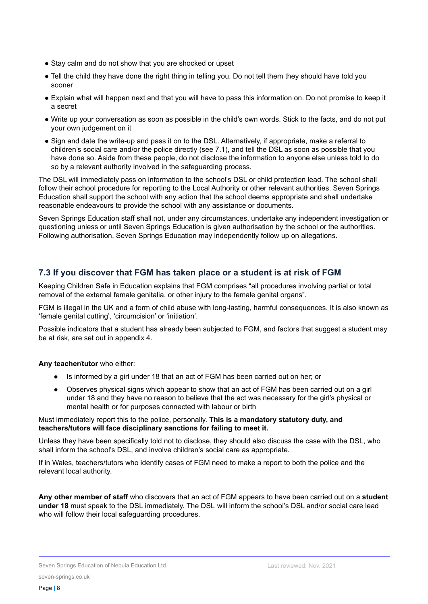- Stay calm and do not show that you are shocked or upset
- Tell the child they have done the right thing in telling you. Do not tell them they should have told you sooner
- Explain what will happen next and that you will have to pass this information on. Do not promise to keep it a secret
- Write up your conversation as soon as possible in the child's own words. Stick to the facts, and do not put your own judgement on it
- Sign and date the write-up and pass it on to the DSL. Alternatively, if appropriate, make a referral to children's social care and/or the police directly (see 7.1), and tell the DSL as soon as possible that you have done so. Aside from these people, do not disclose the information to anyone else unless told to do so by a relevant authority involved in the safeguarding process.

The DSL will immediately pass on information to the school's DSL or child protection lead. The school shall follow their school procedure for reporting to the Local Authority or other relevant authorities. Seven Springs Education shall support the school with any action that the school deems appropriate and shall undertake reasonable endeavours to provide the school with any assistance or documents.

Seven Springs Education staff shall not, under any circumstances, undertake any independent investigation or questioning unless or until Seven Springs Education is given authorisation by the school or the authorities. Following authorisation, Seven Springs Education may independently follow up on allegations.

## **7.3 If you discover that FGM has taken place or a student is at risk of FGM**

Keeping Children Safe in Education explains that FGM comprises "all procedures involving partial or total removal of the external female genitalia, or other injury to the female genital organs".

FGM is illegal in the UK and a form of child abuse with long-lasting, harmful consequences. It is also known as 'female genital cutting', 'circumcision' or 'initiation'.

Possible indicators that a student has already been subjected to FGM, and factors that suggest a student may be at risk, are set out in appendix 4.

#### **Any teacher/tutor** who either:

- Is informed by a girl under 18 that an act of FGM has been carried out on her; or
- Observes physical signs which appear to show that an act of FGM has been carried out on a girl under 18 and they have no reason to believe that the act was necessary for the girl's physical or mental health or for purposes connected with labour or birth

#### Must immediately report this to the police, personally. **This is a mandatory statutory duty, and teachers/tutors will face disciplinary sanctions for failing to meet it.**

Unless they have been specifically told not to disclose, they should also discuss the case with the DSL, who shall inform the school's DSL, and involve children's social care as appropriate.

If in Wales, teachers/tutors who identify cases of FGM need to make a report to both the police and the relevant local authority.

**Any other member of staff** who discovers that an act of FGM appears to have been carried out on a **student under 18** must speak to the DSL immediately. The DSL will inform the school's DSL and/or social care lead who will follow their local safeguarding procedures.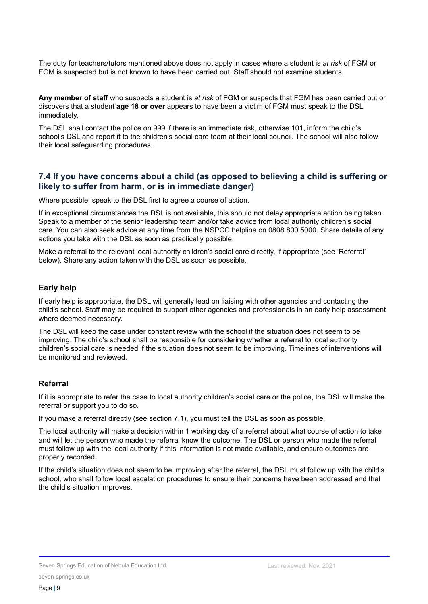The duty for teachers/tutors mentioned above does not apply in cases where a student is *at risk* of FGM or FGM is suspected but is not known to have been carried out. Staff should not examine students.

**Any member of staff** who suspects a student is *at risk* of FGM or suspects that FGM has been carried out or discovers that a student **age 18 or over** appears to have been a victim of FGM must speak to the DSL immediately.

The DSL shall contact the police on 999 if there is an immediate risk, otherwise 101, inform the child's school's DSL and report it to the children's social care team at their local council. The school will also follow their local safeguarding procedures.

#### **7.4 If you have concerns about a child (as opposed to believing a child is suffering or likely to suffer from harm, or is in immediate danger)**

Where possible, speak to the DSL first to agree a course of action.

If in exceptional circumstances the DSL is not available, this should not delay appropriate action being taken. Speak to a member of the senior leadership team and/or take advice from local authority children's social care. You can also seek advice at any time from the NSPCC helpline on 0808 800 5000. Share details of any actions you take with the DSL as soon as practically possible.

Make a referral to the relevant local authority children's social care directly, if appropriate (see 'Referral' below). Share any action taken with the DSL as soon as possible.

#### **Early help**

If early help is appropriate, the DSL will generally lead on liaising with other agencies and contacting the child's school. Staff may be required to support other agencies and professionals in an early help assessment where deemed necessary.

The DSL will keep the case under constant review with the school if the situation does not seem to be improving. The child's school shall be responsible for considering whether a referral to local authority children's social care is needed if the situation does not seem to be improving. Timelines of interventions will be monitored and reviewed.

#### **Referral**

If it is appropriate to refer the case to local authority children's social care or the police, the DSL will make the referral or support you to do so.

If you make a referral directly (see section 7.1), you must tell the DSL as soon as possible.

The local authority will make a decision within 1 working day of a referral about what course of action to take and will let the person who made the referral know the outcome. The DSL or person who made the referral must follow up with the local authority if this information is not made available, and ensure outcomes are properly recorded.

If the child's situation does not seem to be improving after the referral, the DSL must follow up with the child's school, who shall follow local escalation procedures to ensure their concerns have been addressed and that the child's situation improves.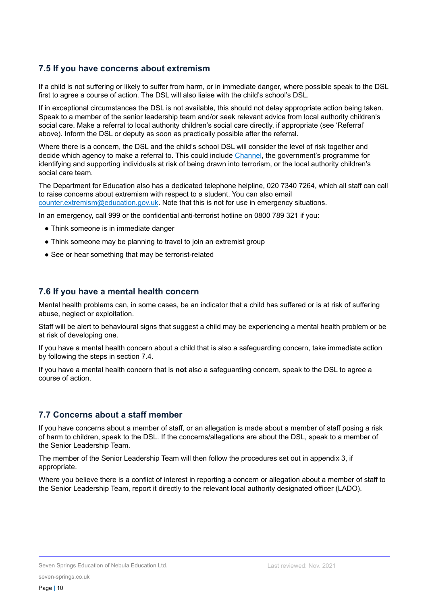#### **7.5 If you have concerns about extremism**

If a child is not suffering or likely to suffer from harm, or in immediate danger, where possible speak to the DSL first to agree a course of action. The DSL will also liaise with the child's school's DSL.

If in exceptional circumstances the DSL is not available, this should not delay appropriate action being taken. Speak to a member of the senior leadership team and/or seek relevant advice from local authority children's social care. Make a referral to local authority children's social care directly, if appropriate (see 'Referral' above). Inform the DSL or deputy as soon as practically possible after the referral.

Where there is a concern, the DSL and the child's school DSL will consider the level of risk together and decide which agency to make a referral to. This could include [Channel](https://www.gov.uk/government/publications/channel-guidance), the government's programme for identifying and supporting individuals at risk of being drawn into terrorism, or the local authority children's social care team.

The Department for Education also has a dedicated telephone helpline, 020 7340 7264, which all staff can call to raise concerns about extremism with respect to a student. You can also email [counter.extremism@education.gov.uk](mailto:counter.extremism@education.gov.uk). Note that this is not for use in emergency situations.

In an emergency, call 999 or the confidential anti-terrorist hotline on 0800 789 321 if you:

- Think someone is in immediate danger
- Think someone may be planning to travel to join an extremist group
- See or hear something that may be terrorist-related

#### **7.6 If you have a mental health concern**

Mental health problems can, in some cases, be an indicator that a child has suffered or is at risk of suffering abuse, neglect or exploitation.

Staff will be alert to behavioural signs that suggest a child may be experiencing a mental health problem or be at risk of developing one.

If you have a mental health concern about a child that is also a safeguarding concern, take immediate action by following the steps in section 7.4.

If you have a mental health concern that is **not** also a safeguarding concern, speak to the DSL to agree a course of action.

#### **7.7 Concerns about a staff member**

If you have concerns about a member of staff, or an allegation is made about a member of staff posing a risk of harm to children, speak to the DSL. If the concerns/allegations are about the DSL, speak to a member of the Senior Leadership Team.

The member of the Senior Leadership Team will then follow the procedures set out in appendix 3, if appropriate.

Where you believe there is a conflict of interest in reporting a concern or allegation about a member of staff to the Senior Leadership Team, report it directly to the relevant local authority designated officer (LADO).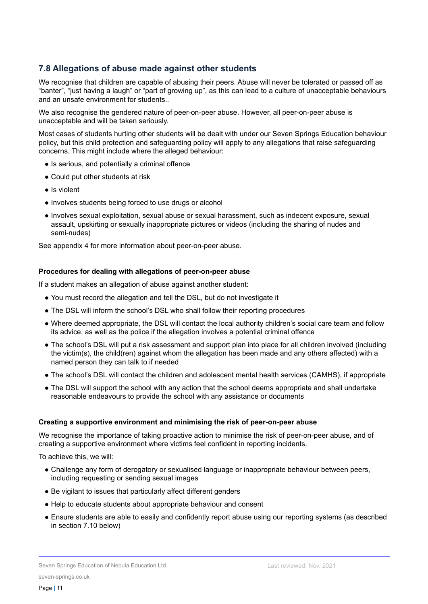## **7.8 Allegations of abuse made against other students**

We recognise that children are capable of abusing their peers. Abuse will never be tolerated or passed off as "banter", "just having a laugh" or "part of growing up", as this can lead to a culture of unacceptable behaviours and an unsafe environment for students..

We also recognise the gendered nature of peer-on-peer abuse. However, all peer-on-peer abuse is unacceptable and will be taken seriously.

Most cases of students hurting other students will be dealt with under our Seven Springs Education behaviour policy, but this child protection and safeguarding policy will apply to any allegations that raise safeguarding concerns. This might include where the alleged behaviour:

- Is serious, and potentially a criminal offence
- Could put other students at risk
- Is violent
- Involves students being forced to use drugs or alcohol
- Involves sexual exploitation, sexual abuse or sexual harassment, such as indecent exposure, sexual assault, upskirting or sexually inappropriate pictures or videos (including the sharing of nudes and semi-nudes)

See appendix 4 for more information about peer-on-peer abuse.

#### **Procedures for dealing with allegations of peer-on-peer abuse**

If a student makes an allegation of abuse against another student:

- You must record the allegation and tell the DSL, but do not investigate it
- The DSL will inform the school's DSL who shall follow their reporting procedures
- Where deemed appropriate, the DSL will contact the local authority children's social care team and follow its advice, as well as the police if the allegation involves a potential criminal offence
- The school's DSL will put a risk assessment and support plan into place for all children involved (including the victim(s), the child(ren) against whom the allegation has been made and any others affected) with a named person they can talk to if needed
- The school's DSL will contact the children and adolescent mental health services (CAMHS), if appropriate
- The DSL will support the school with any action that the school deems appropriate and shall undertake reasonable endeavours to provide the school with any assistance or documents

#### **Creating a supportive environment and minimising the risk of peer-on-peer abuse**

We recognise the importance of taking proactive action to minimise the risk of peer-on-peer abuse, and of creating a supportive environment where victims feel confident in reporting incidents.

To achieve this, we will:

- Challenge any form of derogatory or sexualised language or inappropriate behaviour between peers, including requesting or sending sexual images
- Be vigilant to issues that particularly affect different genders
- Help to educate students about appropriate behaviour and consent
- Ensure students are able to easily and confidently report abuse using our reporting systems (as described in section 7.10 below)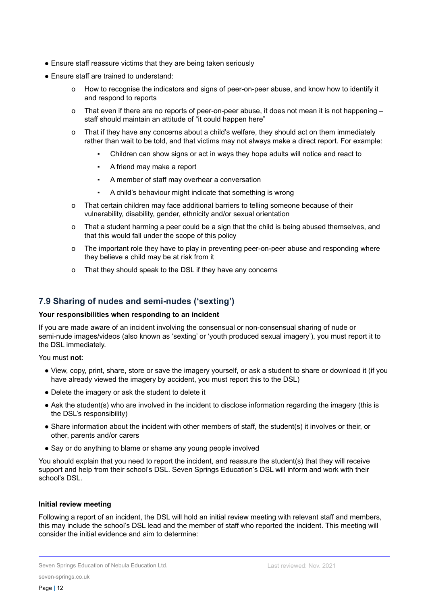- Ensure staff reassure victims that they are being taken seriously
- Ensure staff are trained to understand:
	- o How to recognise the indicators and signs of peer-on-peer abuse, and know how to identify it and respond to reports
	- o That even if there are no reports of peer-on-peer abuse, it does not mean it is not happening staff should maintain an attitude of "it could happen here"
	- o That if they have any concerns about a child's welfare, they should act on them immediately rather than wait to be told, and that victims may not always make a direct report. For example:
		- Children can show signs or act in ways they hope adults will notice and react to
		- A friend may make a report
		- A member of staff may overhear a conversation
		- A child's behaviour might indicate that something is wrong
	- o That certain children may face additional barriers to telling someone because of their vulnerability, disability, gender, ethnicity and/or sexual orientation
	- o That a student harming a peer could be a sign that the child is being abused themselves, and that this would fall under the scope of this policy
	- o The important role they have to play in preventing peer-on-peer abuse and responding where they believe a child may be at risk from it
	- o That they should speak to the DSL if they have any concerns

#### **7.9 Sharing of nudes and semi-nudes ('sexting')**

#### **Your responsibilities when responding to an incident**

If you are made aware of an incident involving the consensual or non-consensual sharing of nude or semi-nude images/videos (also known as 'sexting' or 'youth produced sexual imagery'), you must report it to the DSL immediately.

You must **not**:

- View, copy, print, share, store or save the imagery yourself, or ask a student to share or download it (if you have already viewed the imagery by accident, you must report this to the DSL)
- Delete the imagery or ask the student to delete it
- Ask the student(s) who are involved in the incident to disclose information regarding the imagery (this is the DSL's responsibility)
- Share information about the incident with other members of staff, the student(s) it involves or their, or other, parents and/or carers
- Say or do anything to blame or shame any young people involved

You should explain that you need to report the incident, and reassure the student(s) that they will receive support and help from their school's DSL. Seven Springs Education's DSL will inform and work with their school's DSL.

#### **Initial review meeting**

Following a report of an incident, the DSL will hold an initial review meeting with relevant staff and members, this may include the school's DSL lead and the member of staff who reported the incident. This meeting will consider the initial evidence and aim to determine: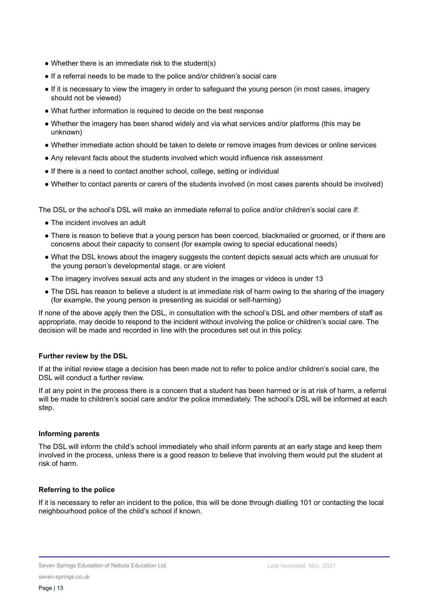- Whether there is an immediate risk to the student(s)
- If a referral needs to be made to the police and/or children's social care
- If it is necessary to view the imagery in order to safeguard the young person (in most cases, imagery should not be viewed)
- What further information is required to decide on the best response
- Whether the imagery has been shared widely and via what services and/or platforms (this may be unknown)
- Whether immediate action should be taken to delete or remove images from devices or online services
- Any relevant facts about the students involved which would influence risk assessment
- If there is a need to contact another school, college, setting or individual
- Whether to contact parents or carers of the students involved (in most cases parents should be involved)

The DSL or the school's DSL will make an immediate referral to police and/or children's social care if:

- The incident involves an adult
- There is reason to believe that a young person has been coerced, blackmailed or groomed, or if there are concerns about their capacity to consent (for example owing to special educational needs)
- What the DSL knows about the imagery suggests the content depicts sexual acts which are unusual for the young person's developmental stage, or are violent
- The imagery involves sexual acts and any student in the images or videos is under 13
- The DSL has reason to believe a student is at immediate risk of harm owing to the sharing of the imagery (for example, the young person is presenting as suicidal or self-harming)

If none of the above apply then the DSL, in consultation with the school's DSL and other members of staff as appropriate, may decide to respond to the incident without involving the police or children's social care. The decision will be made and recorded in line with the procedures set out in this policy.

#### **Further review by the DSL**

If at the initial review stage a decision has been made not to refer to police and/or children's social care, the DSL will conduct a further review.

If at any point in the process there is a concern that a student has been harmed or is at risk of harm, a referral will be made to children's social care and/or the police immediately. The school's DSL will be informed at each step.

#### **Informing parents**

The DSL will inform the child's school immediately who shall inform parents at an early stage and keep them involved in the process, unless there is a good reason to believe that involving them would put the student at risk of harm.

#### **Referring to the police**

If it is necessary to refer an incident to the police, this will be done through dialling 101 or contacting the local neighbourhood police of the child's school if known.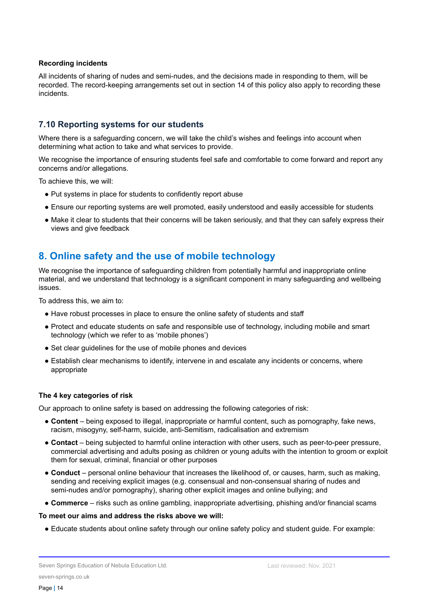#### **Recording incidents**

All incidents of sharing of nudes and semi-nudes, and the decisions made in responding to them, will be recorded. The record-keeping arrangements set out in section 14 of this policy also apply to recording these incidents.

#### **7.10 Reporting systems for our students**

Where there is a safeguarding concern, we will take the child's wishes and feelings into account when determining what action to take and what services to provide.

We recognise the importance of ensuring students feel safe and comfortable to come forward and report any concerns and/or allegations.

To achieve this, we will:

- Put systems in place for students to confidently report abuse
- Ensure our reporting systems are well promoted, easily understood and easily accessible for students
- Make it clear to students that their concerns will be taken seriously, and that they can safely express their views and give feedback

## **8. Online safety and the use of mobile technology**

We recognise the importance of safeguarding children from potentially harmful and inappropriate online material, and we understand that technology is a significant component in many safeguarding and wellbeing issues.

To address this, we aim to:

- Have robust processes in place to ensure the online safety of students and staff
- Protect and educate students on safe and responsible use of technology, including mobile and smart technology (which we refer to as 'mobile phones')
- Set clear guidelines for the use of mobile phones and devices
- Establish clear mechanisms to identify, intervene in and escalate any incidents or concerns, where appropriate

#### **The 4 key categories of risk**

Our approach to online safety is based on addressing the following categories of risk:

- **Content** being exposed to illegal, inappropriate or harmful content, such as pornography, fake news, racism, misogyny, self-harm, suicide, anti-Semitism, radicalisation and extremism
- **Contact** being subjected to harmful online interaction with other users, such as peer-to-peer pressure, commercial advertising and adults posing as children or young adults with the intention to groom or exploit them for sexual, criminal, financial or other purposes
- **Conduct** personal online behaviour that increases the likelihood of, or causes, harm, such as making, sending and receiving explicit images (e.g. consensual and non-consensual sharing of nudes and semi-nudes and/or pornography), sharing other explicit images and online bullying; and
- **Commerce** risks such as online gambling, inappropriate advertising, phishing and/or financial scams

#### **To meet our aims and address the risks above we will:**

● Educate students about online safety through our online safety policy and student guide. For example: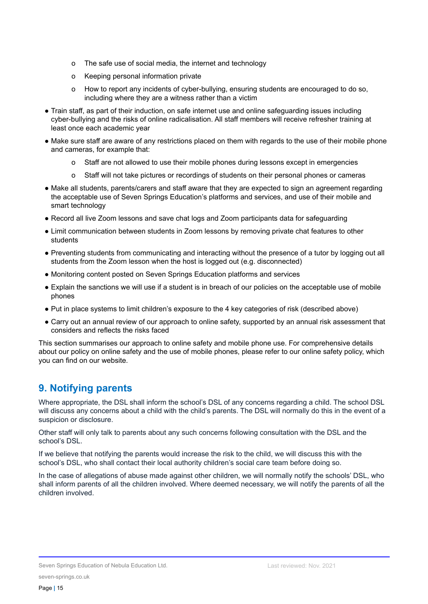- o The safe use of social media, the internet and technology
- o Keeping personal information private
- o How to report any incidents of cyber-bullying, ensuring students are encouraged to do so, including where they are a witness rather than a victim
- Train staff, as part of their induction, on safe internet use and online safeguarding issues including cyber-bullying and the risks of online radicalisation. All staff members will receive refresher training at least once each academic year
- Make sure staff are aware of any restrictions placed on them with regards to the use of their mobile phone and cameras, for example that:
	- o Staff are not allowed to use their mobile phones during lessons except in emergencies
	- o Staff will not take pictures or recordings of students on their personal phones or cameras
- Make all students, parents/carers and staff aware that they are expected to sign an agreement regarding the acceptable use of Seven Springs Education's platforms and services, and use of their mobile and smart technology
- Record all live Zoom lessons and save chat logs and Zoom participants data for safeguarding
- Limit communication between students in Zoom lessons by removing private chat features to other students
- Preventing students from communicating and interacting without the presence of a tutor by logging out all students from the Zoom lesson when the host is logged out (e.g. disconnected)
- Monitoring content posted on Seven Springs Education platforms and services
- Explain the sanctions we will use if a student is in breach of our policies on the acceptable use of mobile phones
- Put in place systems to limit children's exposure to the 4 key categories of risk (described above)
- Carry out an annual review of our approach to online safety, supported by an annual risk assessment that considers and reflects the risks faced

This section summarises our approach to online safety and mobile phone use. For comprehensive details about our policy on online safety and the use of mobile phones, please refer to our online safety policy, which you can find on our website.

## **9. Notifying parents**

Where appropriate, the DSL shall inform the school's DSL of any concerns regarding a child. The school DSL will discuss any concerns about a child with the child's parents. The DSL will normally do this in the event of a suspicion or disclosure.

Other staff will only talk to parents about any such concerns following consultation with the DSL and the school's DSL.

If we believe that notifying the parents would increase the risk to the child, we will discuss this with the school's DSL, who shall contact their local authority children's social care team before doing so.

<span id="page-14-0"></span>In the case of allegations of abuse made against other children, we will normally notify the schools' DSL, who shall inform parents of all the children involved. Where deemed necessary, we will notify the parents of all the children involved.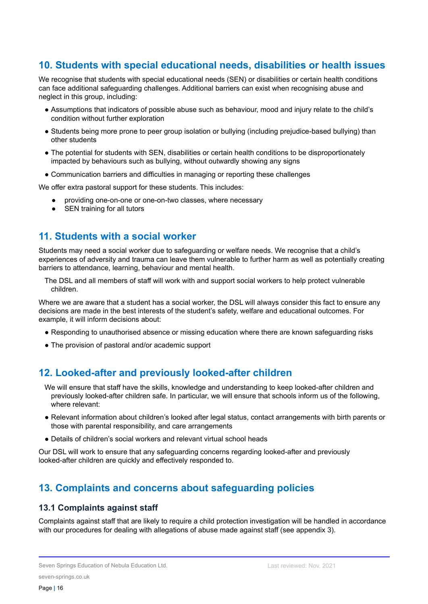## **10. Students with special educational needs, disabilities or health issues**

We recognise that students with special educational needs (SEN) or disabilities or certain health conditions can face additional safeguarding challenges. Additional barriers can exist when recognising abuse and neglect in this group, including:

- Assumptions that indicators of possible abuse such as behaviour, mood and injury relate to the child's condition without further exploration
- Students being more prone to peer group isolation or bullying (including prejudice-based bullying) than other students
- The potential for students with SEN, disabilities or certain health conditions to be disproportionately impacted by behaviours such as bullying, without outwardly showing any signs
- Communication barriers and difficulties in managing or reporting these challenges

<span id="page-15-0"></span>We offer extra pastoral support for these students. This includes:

- providing one-on-one or one-on-two classes, where necessary
- SEN training for all tutors

## **11. Students with a social worker**

Students may need a social worker due to safeguarding or welfare needs. We recognise that a child's experiences of adversity and trauma can leave them vulnerable to further harm as well as potentially creating barriers to attendance, learning, behaviour and mental health.

The DSL and all members of staff will work with and support social workers to help protect vulnerable children.

Where we are aware that a student has a social worker, the DSL will always consider this fact to ensure any decisions are made in the best interests of the student's safety, welfare and educational outcomes. For example, it will inform decisions about:

- Responding to unauthorised absence or missing education where there are known safeguarding risks
- The provision of pastoral and/or academic support

## **12. Looked-after and previously looked-after children**

We will ensure that staff have the skills, knowledge and understanding to keep looked-after children and previously looked-after children safe. In particular, we will ensure that schools inform us of the following, where relevant:

- Relevant information about children's looked after legal status, contact arrangements with birth parents or those with parental responsibility, and care arrangements
- Details of children's social workers and relevant virtual school heads

Our DSL will work to ensure that any safeguarding concerns regarding looked-after and previously looked-after children are quickly and effectively responded to.

## **13. Complaints and concerns about safeguarding policies**

#### **13.1 Complaints against staff**

Complaints against staff that are likely to require a child protection investigation will be handled in accordance with our procedures for dealing with allegations of abuse made against staff (see appendix 3).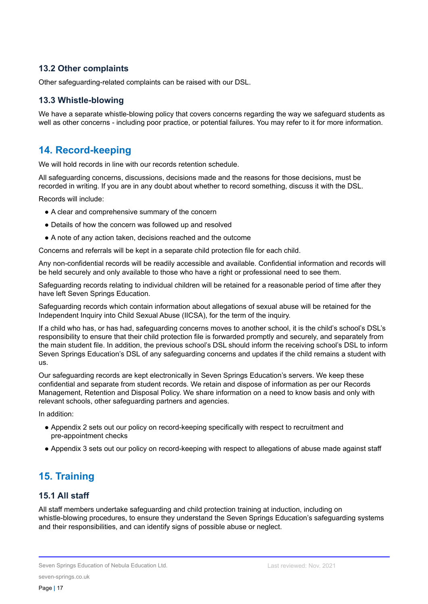#### **13.2 Other complaints**

Other safeguarding-related complaints can be raised with our DSL.

#### **13.3 Whistle-blowing**

We have a separate whistle-blowing policy that covers concerns regarding the way we safeguard students as well as other concerns - including poor practice, or potential failures. You may refer to it for more information.

## **14. Record-keeping**

We will hold records in line with our records retention schedule.

All safeguarding concerns, discussions, decisions made and the reasons for those decisions, must be recorded in writing. If you are in any doubt about whether to record something, discuss it with the DSL.

Records will include:

- A clear and comprehensive summary of the concern
- Details of how the concern was followed up and resolved
- A note of any action taken, decisions reached and the outcome

Concerns and referrals will be kept in a separate child protection file for each child.

Any non-confidential records will be readily accessible and available. Confidential information and records will be held securely and only available to those who have a right or professional need to see them.

Safeguarding records relating to individual children will be retained for a reasonable period of time after they have left Seven Springs Education.

Safeguarding records which contain information about allegations of sexual abuse will be retained for the Independent Inquiry into Child Sexual Abuse (IICSA), for the term of the inquiry.

If a child who has, or has had, safeguarding concerns moves to another school, it is the child's school's DSL's responsibility to ensure that their child protection file is forwarded promptly and securely, and separately from the main student file. In addition, the previous school's DSL should inform the receiving school's DSL to inform Seven Springs Education's DSL of any safeguarding concerns and updates if the child remains a student with us.

Our safeguarding records are kept electronically in Seven Springs Education's servers. We keep these confidential and separate from student records. We retain and dispose of information as per our Records Management, Retention and Disposal Policy. We share information on a need to know basis and only with relevant schools, other safeguarding partners and agencies.

In addition:

- Appendix 2 sets out our policy on record-keeping specifically with respect to recruitment and pre-appointment checks
- Appendix 3 sets out our policy on record-keeping with respect to allegations of abuse made against staff

## **15. Training**

#### **15.1 All staff**

All staff members undertake safeguarding and child protection training at induction, including on whistle-blowing procedures, to ensure they understand the Seven Springs Education's safeguarding systems and their responsibilities, and can identify signs of possible abuse or neglect.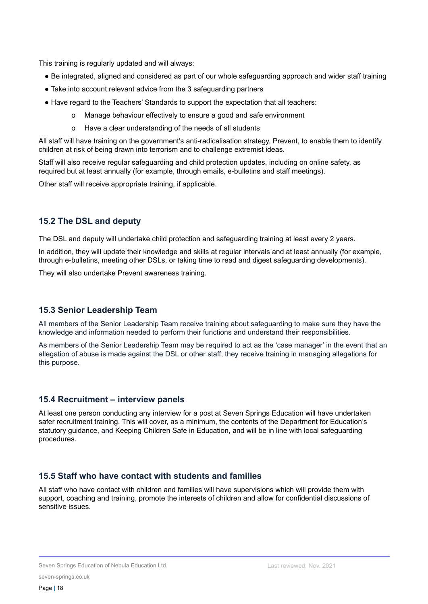This training is regularly updated and will always:

- Be integrated, aligned and considered as part of our whole safeguarding approach and wider staff training
- Take into account relevant advice from the 3 safeguarding partners
- Have regard to the Teachers' Standards to support the expectation that all teachers:
	- o Manage behaviour effectively to ensure a good and safe environment
	- o Have a clear understanding of the needs of all students

All staff will have training on the government's anti-radicalisation strategy, Prevent, to enable them to identify children at risk of being drawn into terrorism and to challenge extremist ideas.

Staff will also receive regular safeguarding and child protection updates, including on online safety, as required but at least annually (for example, through emails, e-bulletins and staff meetings).

Other staff will receive appropriate training, if applicable.

#### **15.2 The DSL and deputy**

The DSL and deputy will undertake child protection and safeguarding training at least every 2 years.

In addition, they will update their knowledge and skills at regular intervals and at least annually (for example, through e-bulletins, meeting other DSLs, or taking time to read and digest safeguarding developments).

They will also undertake Prevent awareness training.

#### **15.3 Senior Leadership Team**

All members of the Senior Leadership Team receive training about safeguarding to make sure they have the knowledge and information needed to perform their functions and understand their responsibilities.

As members of the Senior Leadership Team may be required to act as the 'case manager' in the event that an allegation of abuse is made against the DSL or other staff, they receive training in managing allegations for this purpose.

#### **15.4 Recruitment – interview panels**

At least one person conducting any interview for a post at Seven Springs Education will have undertaken safer recruitment training. This will cover, as a minimum, the contents of the Department for Education's statutory guidance, and Keeping Children Safe in Education, and will be in line with local safeguarding procedures.

#### **15.5 Staff who have contact with students and families**

<span id="page-17-0"></span>All staff who have contact with children and families will have supervisions which will provide them with support, coaching and training, promote the interests of children and allow for confidential discussions of sensitive issues.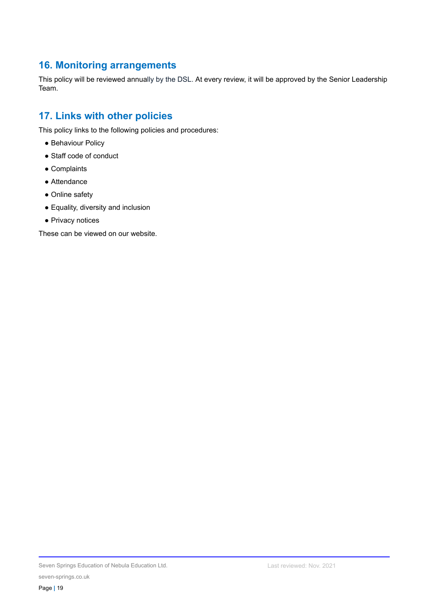## **16. Monitoring arrangements**

This policy will be reviewed annually by the DSL. At every review, it will be approved by the Senior Leadership Team.

## <span id="page-18-0"></span>**17. Links with other policies**

This policy links to the following policies and procedures:

- Behaviour Policy
- Staff code of conduct
- Complaints
- Attendance
- Online safety
- Equality, diversity and inclusion
- Privacy notices

<span id="page-18-1"></span>These can be viewed on our website.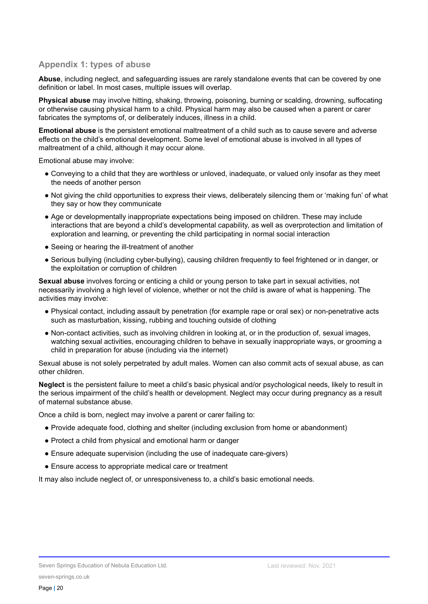#### **Appendix 1: types of abuse**

**Abuse**, including neglect, and safeguarding issues are rarely standalone events that can be covered by one definition or label. In most cases, multiple issues will overlap.

**Physical abuse** may involve hitting, shaking, throwing, poisoning, burning or scalding, drowning, suffocating or otherwise causing physical harm to a child. Physical harm may also be caused when a parent or carer fabricates the symptoms of, or deliberately induces, illness in a child.

**Emotional abuse** is the persistent emotional maltreatment of a child such as to cause severe and adverse effects on the child's emotional development. Some level of emotional abuse is involved in all types of maltreatment of a child, although it may occur alone.

Emotional abuse may involve:

- Conveying to a child that they are worthless or unloved, inadequate, or valued only insofar as they meet the needs of another person
- Not giving the child opportunities to express their views, deliberately silencing them or 'making fun' of what they say or how they communicate
- Age or developmentally inappropriate expectations being imposed on children. These may include interactions that are beyond a child's developmental capability, as well as overprotection and limitation of exploration and learning, or preventing the child participating in normal social interaction
- Seeing or hearing the ill-treatment of another
- Serious bullying (including cyber-bullying), causing children frequently to feel frightened or in danger, or the exploitation or corruption of children

**Sexual abuse** involves forcing or enticing a child or young person to take part in sexual activities, not necessarily involving a high level of violence, whether or not the child is aware of what is happening. The activities may involve:

- Physical contact, including assault by penetration (for example rape or oral sex) or non-penetrative acts such as masturbation, kissing, rubbing and touching outside of clothing
- Non-contact activities, such as involving children in looking at, or in the production of, sexual images, watching sexual activities, encouraging children to behave in sexually inappropriate ways, or grooming a child in preparation for abuse (including via the internet)

Sexual abuse is not solely perpetrated by adult males. Women can also commit acts of sexual abuse, as can other children.

**Neglect** is the persistent failure to meet a child's basic physical and/or psychological needs, likely to result in the serious impairment of the child's health or development. Neglect may occur during pregnancy as a result of maternal substance abuse.

Once a child is born, neglect may involve a parent or carer failing to:

- Provide adequate food, clothing and shelter (including exclusion from home or abandonment)
- Protect a child from physical and emotional harm or danger
- Ensure adequate supervision (including the use of inadequate care-givers)
- Ensure access to appropriate medical care or treatment

It may also include neglect of, or unresponsiveness to, a child's basic emotional needs.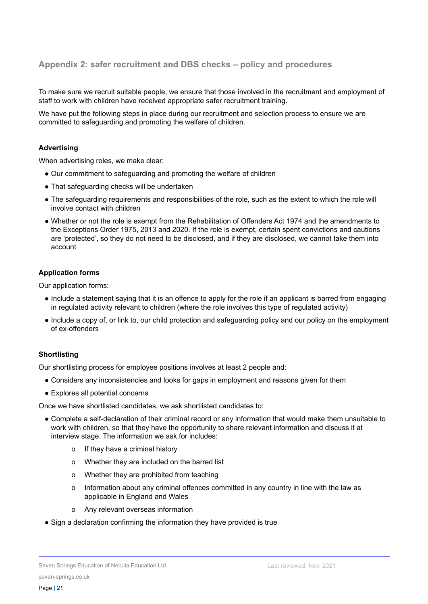#### **Appendix 2: safer recruitment and DBS checks – policy and procedures**

To make sure we recruit suitable people, we ensure that those involved in the recruitment and employment of staff to work with children have received appropriate safer recruitment training.

We have put the following steps in place during our recruitment and selection process to ensure we are committed to safeguarding and promoting the welfare of children.

#### **Advertising**

When advertising roles, we make clear:

- Our commitment to safeguarding and promoting the welfare of children
- That safeguarding checks will be undertaken
- The safeguarding requirements and responsibilities of the role, such as the extent to which the role will involve contact with children
- Whether or not the role is exempt from the Rehabilitation of Offenders Act 1974 and the amendments to the Exceptions Order 1975, 2013 and 2020. If the role is exempt, certain spent convictions and cautions are 'protected', so they do not need to be disclosed, and if they are disclosed, we cannot take them into account

#### **Application forms**

Our application forms:

- Include a statement saying that it is an offence to apply for the role if an applicant is barred from engaging in regulated activity relevant to children (where the role involves this type of regulated activity)
- Include a copy of, or link to, our child protection and safeguarding policy and our policy on the employment of ex-offenders

#### **Shortlisting**

Our shortlisting process for employee positions involves at least 2 people and:

- Considers any inconsistencies and looks for gaps in employment and reasons given for them
- Explores all potential concerns

Once we have shortlisted candidates, we ask shortlisted candidates to:

- Complete a self-declaration of their criminal record or any information that would make them unsuitable to work with children, so that they have the opportunity to share relevant information and discuss it at interview stage. The information we ask for includes:
	- o If they have a criminal history
	- o Whether they are included on the barred list
	- o Whether they are prohibited from teaching
	- o Information about any criminal offences committed in any country in line with the law as applicable in England and Wales
	- o Any relevant overseas information
- Sign a declaration confirming the information they have provided is true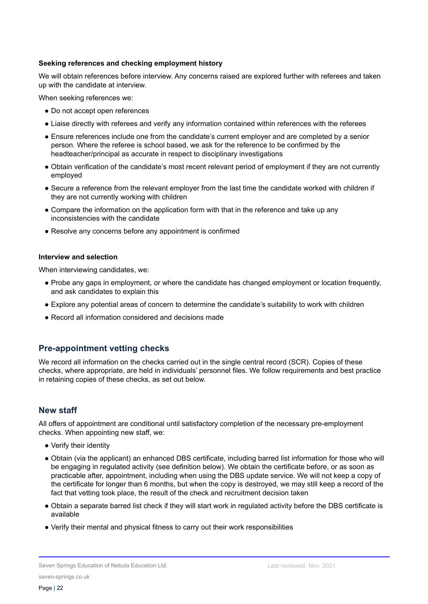#### **Seeking references and checking employment history**

We will obtain references before interview. Any concerns raised are explored further with referees and taken up with the candidate at interview.

When seeking references we:

- Do not accept open references
- Liaise directly with referees and verify any information contained within references with the referees
- Ensure references include one from the candidate's current employer and are completed by a senior person. Where the referee is school based, we ask for the reference to be confirmed by the headteacher/principal as accurate in respect to disciplinary investigations
- Obtain verification of the candidate's most recent relevant period of employment if they are not currently employed
- Secure a reference from the relevant employer from the last time the candidate worked with children if they are not currently working with children
- Compare the information on the application form with that in the reference and take up any inconsistencies with the candidate
- Resolve any concerns before any appointment is confirmed

#### **Interview and selection**

When interviewing candidates, we:

- Probe any gaps in employment, or where the candidate has changed employment or location frequently, and ask candidates to explain this
- Explore any potential areas of concern to determine the candidate's suitability to work with children
- Record all information considered and decisions made

#### **Pre-appointment vetting checks**

We record all information on the checks carried out in the single central record (SCR). Copies of these checks, where appropriate, are held in individuals' personnel files. We follow requirements and best practice in retaining copies of these checks, as set out below.

#### **New staff**

All offers of appointment are conditional until satisfactory completion of the necessary pre-employment checks. When appointing new staff, we:

- Verify their identity
- Obtain (via the applicant) an enhanced DBS certificate, including barred list information for those who will be engaging in regulated activity (see definition below). We obtain the certificate before, or as soon as practicable after, appointment, including when using the DBS update service. We will not keep a copy of the certificate for longer than 6 months, but when the copy is destroyed, we may still keep a record of the fact that vetting took place, the result of the check and recruitment decision taken
- Obtain a separate barred list check if they will start work in regulated activity before the DBS certificate is available
- Verify their mental and physical fitness to carry out their work responsibilities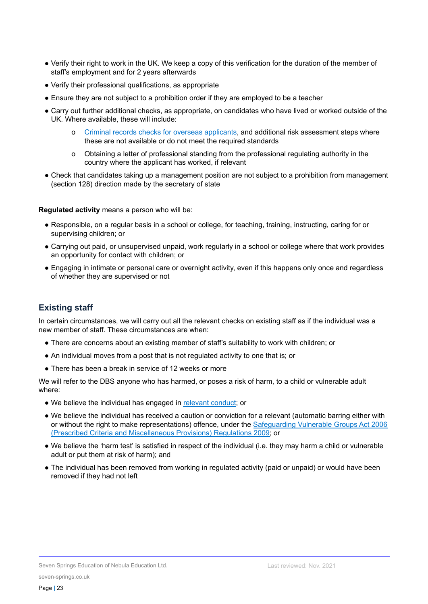- Verify their right to work in the UK. We keep a copy of this verification for the duration of the member of staff's employment and for 2 years afterwards
- Verify their professional qualifications, as appropriate
- Ensure they are not subject to a prohibition order if they are employed to be a teacher
- Carry out further additional checks, as appropriate, on candidates who have lived or worked outside of the UK. Where available, these will include:
	- o Criminal records checks for overseas [applicants,](https://www.gov.uk/government/publications/criminal-records-checks-for-overseas-applicants) and additional risk assessment steps where these are not available or do not meet the required standards
	- o Obtaining a letter of professional standing from the professional regulating authority in the country where the applicant has worked, if relevant
- Check that candidates taking up a management position are not subject to a prohibition from management (section 128) direction made by the secretary of state

**Regulated activity** means a person who will be:

- Responsible, on a regular basis in a school or college, for teaching, training, instructing, caring for or supervising children; or
- Carrying out paid, or unsupervised unpaid, work regularly in a school or college where that work provides an opportunity for contact with children; or
- Engaging in intimate or personal care or overnight activity, even if this happens only once and regardless of whether they are supervised or not

## **Existing staff**

In certain circumstances, we will carry out all the relevant checks on existing staff as if the individual was a new member of staff. These circumstances are when:

- There are concerns about an existing member of staff's suitability to work with children; or
- An individual moves from a post that is not regulated activity to one that is; or
- There has been a break in service of 12 weeks or more

We will refer to the DBS anyone who has harmed, or poses a risk of harm, to a child or vulnerable adult where:

- We believe the individual has engaged in [relevant](https://www.gov.uk/guidance/making-barring-referrals-to-the-dbs#relevant-conduct-in-relation-to-children) conduct; or
- We believe the individual has received a caution or conviction for a relevant (automatic barring either with or without the right to make representations) offence, under the [Safeguarding](http://www.legislation.gov.uk/uksi/2009/37/contents/made) Vulnerable Groups Act 2006 (Prescribed Criteria and [Miscellaneous](http://www.legislation.gov.uk/uksi/2009/37/contents/made) Provisions) Regulations 2009; or
- We believe the 'harm test' is satisfied in respect of the individual (i.e. they may harm a child or vulnerable adult or put them at risk of harm); and
- The individual has been removed from working in regulated activity (paid or unpaid) or would have been removed if they had not left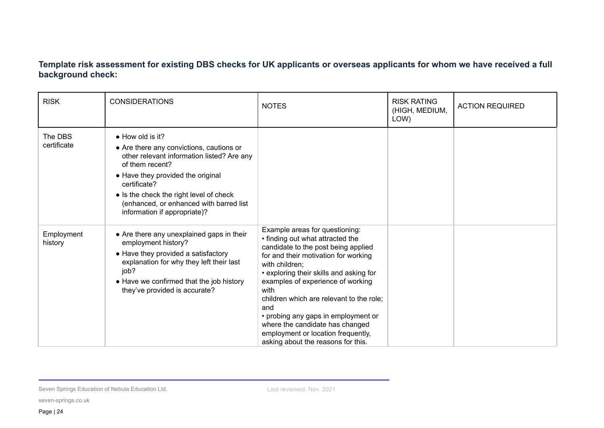## **Template risk assessment for existing DBS checks for UK applicants or overseas applicants for whom we have received a full background check:**

| <b>RISK</b>            | <b>CONSIDERATIONS</b>                                                                                                                                                                                                                                                                                            | <b>NOTES</b>                                                                                                                                                                                                                                                                                                                                                                                                                                                         | <b>RISK RATING</b><br>(HIGH, MEDIUM,<br>LOW) | <b>ACTION REQUIRED</b> |
|------------------------|------------------------------------------------------------------------------------------------------------------------------------------------------------------------------------------------------------------------------------------------------------------------------------------------------------------|----------------------------------------------------------------------------------------------------------------------------------------------------------------------------------------------------------------------------------------------------------------------------------------------------------------------------------------------------------------------------------------------------------------------------------------------------------------------|----------------------------------------------|------------------------|
| The DBS<br>certificate | $\bullet$ How old is it?<br>• Are there any convictions, cautions or<br>other relevant information listed? Are any<br>of them recent?<br>• Have they provided the original<br>certificate?<br>• Is the check the right level of check<br>(enhanced, or enhanced with barred list<br>information if appropriate)? |                                                                                                                                                                                                                                                                                                                                                                                                                                                                      |                                              |                        |
| Employment<br>history  | • Are there any unexplained gaps in their<br>employment history?<br>• Have they provided a satisfactory<br>explanation for why they left their last<br>job?<br>• Have we confirmed that the job history<br>they've provided is accurate?                                                                         | Example areas for questioning:<br>• finding out what attracted the<br>candidate to the post being applied<br>for and their motivation for working<br>with children:<br>• exploring their skills and asking for<br>examples of experience of working<br>with<br>children which are relevant to the role;<br>and<br>• probing any gaps in employment or<br>where the candidate has changed<br>employment or location frequently,<br>asking about the reasons for this. |                                              |                        |

Seven Springs Education of Nebula Education Ltd.

seven-springs.co.uk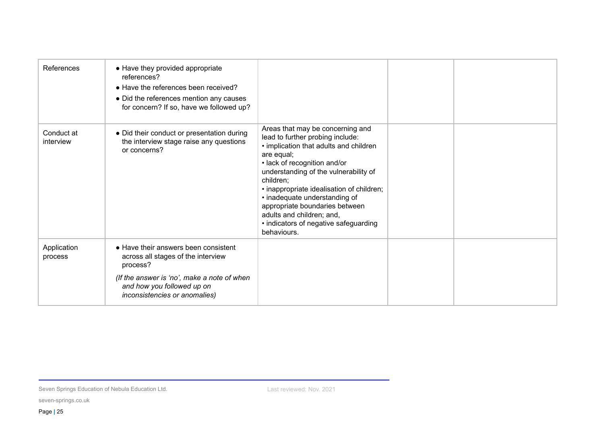| References              | • Have they provided appropriate<br>references?<br>• Have the references been received?<br>• Did the references mention any causes<br>for concern? If so, have we followed up?                       |                                                                                                                                                                                                                                                                                                                                                                                                                         |  |
|-------------------------|------------------------------------------------------------------------------------------------------------------------------------------------------------------------------------------------------|-------------------------------------------------------------------------------------------------------------------------------------------------------------------------------------------------------------------------------------------------------------------------------------------------------------------------------------------------------------------------------------------------------------------------|--|
| Conduct at<br>interview | • Did their conduct or presentation during<br>the interview stage raise any questions<br>or concerns?                                                                                                | Areas that may be concerning and<br>lead to further probing include:<br>• implication that adults and children<br>are equal;<br>• lack of recognition and/or<br>understanding of the vulnerability of<br>children:<br>• inappropriate idealisation of children;<br>• inadequate understanding of<br>appropriate boundaries between<br>adults and children; and,<br>• indicators of negative safeguarding<br>behaviours. |  |
| Application<br>process  | • Have their answers been consistent<br>across all stages of the interview<br>process?<br>(If the answer is 'no', make a note of when<br>and how you followed up on<br>inconsistencies or anomalies) |                                                                                                                                                                                                                                                                                                                                                                                                                         |  |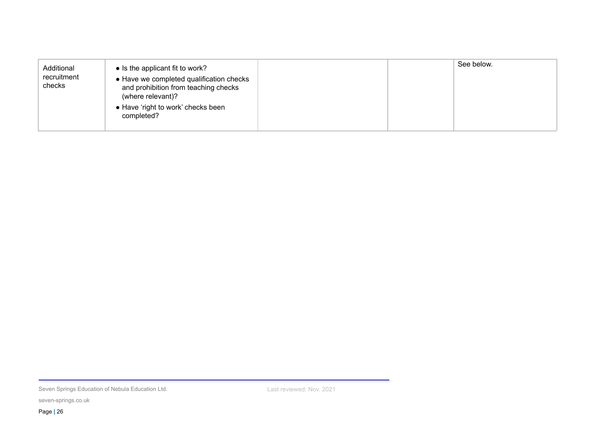| Additional<br>recruitment<br>checks | • Is the applicant fit to work?<br>• Have we completed qualification checks<br>and prohibition from teaching checks<br>(where relevant)?<br>• Have 'right to work' checks been<br>completed? |  | See below. |
|-------------------------------------|----------------------------------------------------------------------------------------------------------------------------------------------------------------------------------------------|--|------------|
|                                     |                                                                                                                                                                                              |  |            |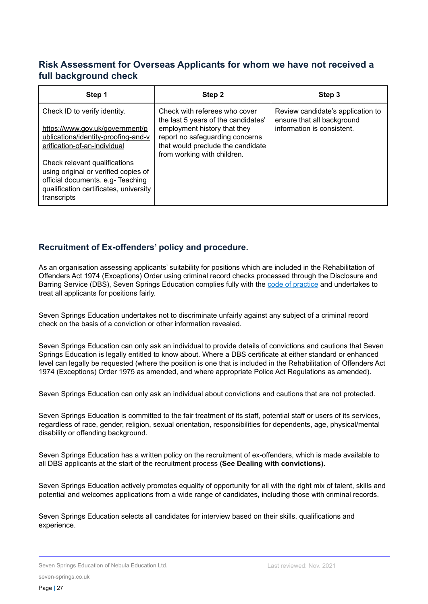## **Risk Assessment for Overseas Applicants for whom we have not received a full background check**

| Step 1                                                                                                                                                                                                                                                                                         | Step 2                                                                                                                                                                                                      | Step 3                                                                                        |
|------------------------------------------------------------------------------------------------------------------------------------------------------------------------------------------------------------------------------------------------------------------------------------------------|-------------------------------------------------------------------------------------------------------------------------------------------------------------------------------------------------------------|-----------------------------------------------------------------------------------------------|
| Check ID to verify identity.<br>https://www.gov.uk/government/p<br>ublications/identity-proofing-and-v<br>erification-of-an-individual<br>Check relevant qualifications<br>using original or verified copies of<br>official documents. e.g- Teaching<br>qualification certificates, university | Check with referees who cover<br>the last 5 years of the candidates'<br>employment history that they<br>report no safeguarding concerns<br>that would preclude the candidate<br>from working with children. | Review candidate's application to<br>ensure that all background<br>information is consistent. |
| transcripts                                                                                                                                                                                                                                                                                    |                                                                                                                                                                                                             |                                                                                               |

## **Recruitment of Ex-offenders' policy and procedure.**

As an organisation assessing applicants' suitability for positions which are included in the Rehabilitation of Offenders Act 1974 (Exceptions) Order using criminal record checks processed through the Disclosure and Barring Service (DBS), Seven Springs Education complies fully with the code of [practice](https://www.gov.uk/government/publications/dbs-code-of-practice) and undertakes to treat all applicants for positions fairly.

Seven Springs Education undertakes not to discriminate unfairly against any subject of a criminal record check on the basis of a conviction or other information revealed.

Seven Springs Education can only ask an individual to provide details of convictions and cautions that Seven Springs Education is legally entitled to know about. Where a DBS certificate at either standard or enhanced level can legally be requested (where the position is one that is included in the Rehabilitation of Offenders Act 1974 (Exceptions) Order 1975 as amended, and where appropriate Police Act Regulations as amended).

Seven Springs Education can only ask an individual about convictions and cautions that are not protected.

Seven Springs Education is committed to the fair treatment of its staff, potential staff or users of its services, regardless of race, gender, religion, sexual orientation, responsibilities for dependents, age, physical/mental disability or offending background.

Seven Springs Education has a written policy on the recruitment of ex-offenders, which is made available to all DBS applicants at the start of the recruitment process **(See Dealing with convictions).**

Seven Springs Education actively promotes equality of opportunity for all with the right mix of talent, skills and potential and welcomes applications from a wide range of candidates, including those with criminal records.

Seven Springs Education selects all candidates for interview based on their skills, qualifications and experience.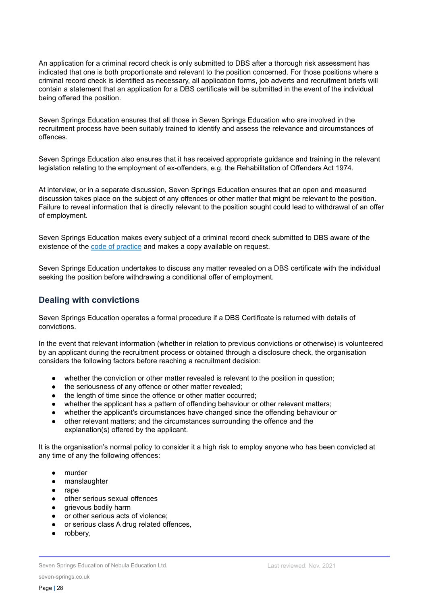An application for a criminal record check is only submitted to DBS after a thorough risk assessment has indicated that one is both proportionate and relevant to the position concerned. For those positions where a criminal record check is identified as necessary, all application forms, job adverts and recruitment briefs will contain a statement that an application for a DBS certificate will be submitted in the event of the individual being offered the position.

Seven Springs Education ensures that all those in Seven Springs Education who are involved in the recruitment process have been suitably trained to identify and assess the relevance and circumstances of offences.

Seven Springs Education also ensures that it has received appropriate guidance and training in the relevant legislation relating to the employment of ex-offenders, e.g. the Rehabilitation of Offenders Act 1974.

At interview, or in a separate discussion, Seven Springs Education ensures that an open and measured discussion takes place on the subject of any offences or other matter that might be relevant to the position. Failure to reveal information that is directly relevant to the position sought could lead to withdrawal of an offer of employment.

Seven Springs Education makes every subject of a criminal record check submitted to DBS aware of the existence of the code of [practice](https://www.gov.uk/government/publications/dbs-code-of-practice) and makes a copy available on request.

Seven Springs Education undertakes to discuss any matter revealed on a DBS certificate with the individual seeking the position before withdrawing a conditional offer of employment.

#### **Dealing with convictions**

Seven Springs Education operates a formal procedure if a DBS Certificate is returned with details of convictions.

In the event that relevant information (whether in relation to previous convictions or otherwise) is volunteered by an applicant during the recruitment process or obtained through a disclosure check, the organisation considers the following factors before reaching a recruitment decision:

- whether the conviction or other matter revealed is relevant to the position in question;
- the seriousness of any offence or other matter revealed;
- the length of time since the offence or other matter occurred;
- whether the applicant has a pattern of offending behaviour or other relevant matters;
- whether the applicant's circumstances have changed since the offending behaviour or
- other relevant matters; and the circumstances surrounding the offence and the explanation(s) offered by the applicant.

It is the organisation's normal policy to consider it a high risk to employ anyone who has been convicted at any time of any the following offences:

- murder
- manslaughter
- rape
- other serious sexual offences
- grievous bodily harm
- or other serious acts of violence:
- or serious class A drug related offences,
- robbery,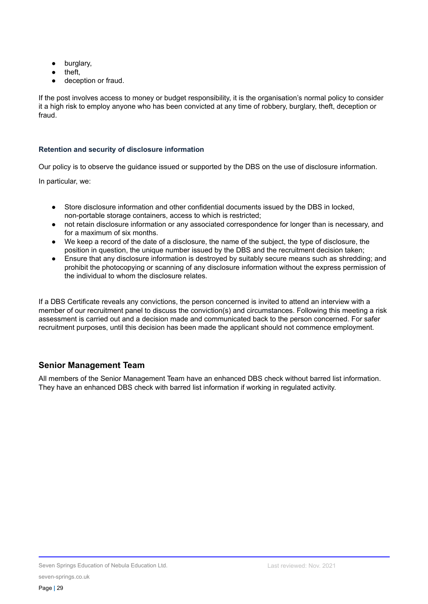- burglary,
- theft,
- deception or fraud.

If the post involves access to money or budget responsibility, it is the organisation's normal policy to consider it a high risk to employ anyone who has been convicted at any time of robbery, burglary, theft, deception or fraud.

#### **Retention and security of disclosure information**

Our policy is to observe the guidance issued or supported by the DBS on the use of disclosure information.

In particular, we:

- Store disclosure information and other confidential documents issued by the DBS in locked, non-portable storage containers, access to which is restricted;
- not retain disclosure information or any associated correspondence for longer than is necessary, and for a maximum of six months.
- We keep a record of the date of a disclosure, the name of the subject, the type of disclosure, the position in question, the unique number issued by the DBS and the recruitment decision taken;
- Ensure that any disclosure information is destroyed by suitably secure means such as shredding; and prohibit the photocopying or scanning of any disclosure information without the express permission of the individual to whom the disclosure relates.

If a DBS Certificate reveals any convictions, the person concerned is invited to attend an interview with a member of our recruitment panel to discuss the conviction(s) and circumstances. Following this meeting a risk assessment is carried out and a decision made and communicated back to the person concerned. For safer recruitment purposes, until this decision has been made the applicant should not commence employment.

## **Senior Management Team**

All members of the Senior Management Team have an enhanced DBS check without barred list information. They have an enhanced DBS check with barred list information if working in regulated activity.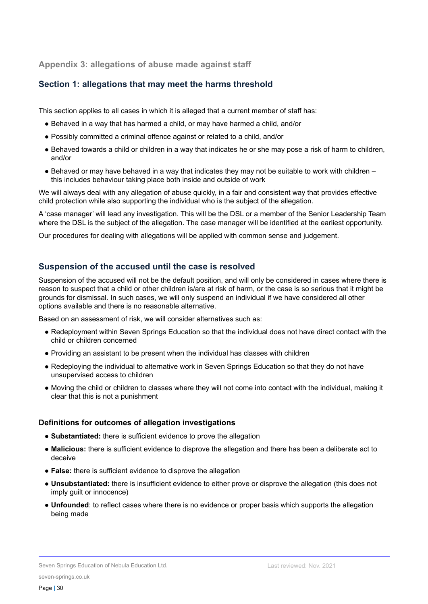**Appendix 3: allegations of abuse made against staff**

## **Section 1: allegations that may meet the harms threshold**

This section applies to all cases in which it is alleged that a current member of staff has:

- Behaved in a way that has harmed a child, or may have harmed a child, and/or
- Possibly committed a criminal offence against or related to a child, and/or
- Behaved towards a child or children in a way that indicates he or she may pose a risk of harm to children, and/or
- $\bullet$  Behaved or may have behaved in a way that indicates they may not be suitable to work with children this includes behaviour taking place both inside and outside of work

We will always deal with any allegation of abuse quickly, in a fair and consistent way that provides effective child protection while also supporting the individual who is the subject of the allegation.

A 'case manager' will lead any investigation. This will be the DSL or a member of the Senior Leadership Team where the DSL is the subject of the allegation. The case manager will be identified at the earliest opportunity.

Our procedures for dealing with allegations will be applied with common sense and judgement.

#### **Suspension of the accused until the case is resolved**

Suspension of the accused will not be the default position, and will only be considered in cases where there is reason to suspect that a child or other children is/are at risk of harm, or the case is so serious that it might be grounds for dismissal. In such cases, we will only suspend an individual if we have considered all other options available and there is no reasonable alternative.

Based on an assessment of risk, we will consider alternatives such as:

- Redeployment within Seven Springs Education so that the individual does not have direct contact with the child or children concerned
- Providing an assistant to be present when the individual has classes with children
- Redeploying the individual to alternative work in Seven Springs Education so that they do not have unsupervised access to children
- Moving the child or children to classes where they will not come into contact with the individual, making it clear that this is not a punishment

#### **Definitions for outcomes of allegation investigations**

- **Substantiated:** there is sufficient evidence to prove the allegation
- **Malicious:** there is sufficient evidence to disprove the allegation and there has been a deliberate act to deceive
- **False:** there is sufficient evidence to disprove the allegation
- **Unsubstantiated:** there is insufficient evidence to either prove or disprove the allegation (this does not imply guilt or innocence)
- **Unfounded**: to reflect cases where there is no evidence or proper basis which supports the allegation being made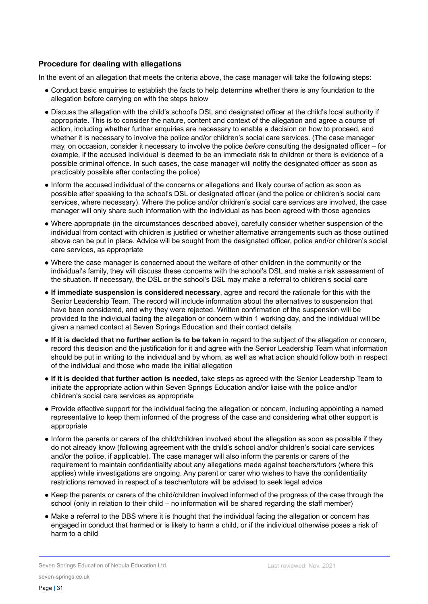#### **Procedure for dealing with allegations**

In the event of an allegation that meets the criteria above, the case manager will take the following steps:

- Conduct basic enquiries to establish the facts to help determine whether there is any foundation to the allegation before carrying on with the steps below
- Discuss the allegation with the child's school's DSL and designated officer at the child's local authority if appropriate. This is to consider the nature, content and context of the allegation and agree a course of action, including whether further enquiries are necessary to enable a decision on how to proceed, and whether it is necessary to involve the police and/or children's social care services. (The case manager may, on occasion, consider it necessary to involve the police *before* consulting the designated officer – for example, if the accused individual is deemed to be an immediate risk to children or there is evidence of a possible criminal offence. In such cases, the case manager will notify the designated officer as soon as practicably possible after contacting the police)
- Inform the accused individual of the concerns or allegations and likely course of action as soon as possible after speaking to the school's DSL or designated officer (and the police or children's social care services, where necessary). Where the police and/or children's social care services are involved, the case manager will only share such information with the individual as has been agreed with those agencies
- Where appropriate (in the circumstances described above), carefully consider whether suspension of the individual from contact with children is justified or whether alternative arrangements such as those outlined above can be put in place. Advice will be sought from the designated officer, police and/or children's social care services, as appropriate
- Where the case manager is concerned about the welfare of other children in the community or the individual's family, they will discuss these concerns with the school's DSL and make a risk assessment of the situation. If necessary, the DSL or the school's DSL may make a referral to children's social care
- **If immediate suspension is considered necessary**, agree and record the rationale for this with the Senior Leadership Team. The record will include information about the alternatives to suspension that have been considered, and why they were rejected. Written confirmation of the suspension will be provided to the individual facing the allegation or concern within 1 working day, and the individual will be given a named contact at Seven Springs Education and their contact details
- **If it is decided that no further action is to be taken** in regard to the subject of the allegation or concern, record this decision and the justification for it and agree with the Senior Leadership Team what information should be put in writing to the individual and by whom, as well as what action should follow both in respect of the individual and those who made the initial allegation
- **If it is decided that further action is needed**, take steps as agreed with the Senior Leadership Team to initiate the appropriate action within Seven Springs Education and/or liaise with the police and/or children's social care services as appropriate
- Provide effective support for the individual facing the allegation or concern, including appointing a named representative to keep them informed of the progress of the case and considering what other support is appropriate
- Inform the parents or carers of the child/children involved about the allegation as soon as possible if they do not already know (following agreement with the child's school and/or children's social care services and/or the police, if applicable). The case manager will also inform the parents or carers of the requirement to maintain confidentiality about any allegations made against teachers/tutors (where this applies) while investigations are ongoing. Any parent or carer who wishes to have the confidentiality restrictions removed in respect of a teacher/tutors will be advised to seek legal advice
- Keep the parents or carers of the child/children involved informed of the progress of the case through the school (only in relation to their child – no information will be shared regarding the staff member)
- Make a referral to the DBS where it is thought that the individual facing the allegation or concern has engaged in conduct that harmed or is likely to harm a child, or if the individual otherwise poses a risk of harm to a child

Seven Springs Education of Nebula Education Ltd.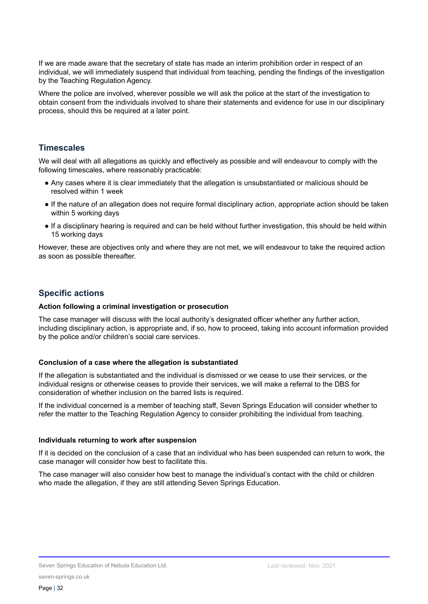If we are made aware that the secretary of state has made an interim prohibition order in respect of an individual, we will immediately suspend that individual from teaching, pending the findings of the investigation by the Teaching Regulation Agency.

Where the police are involved, wherever possible we will ask the police at the start of the investigation to obtain consent from the individuals involved to share their statements and evidence for use in our disciplinary process, should this be required at a later point.

#### **Timescales**

We will deal with all allegations as quickly and effectively as possible and will endeavour to comply with the following timescales, where reasonably practicable:

- Any cases where it is clear immediately that the allegation is unsubstantiated or malicious should be resolved within 1 week
- If the nature of an allegation does not require formal disciplinary action, appropriate action should be taken within 5 working days
- If a disciplinary hearing is required and can be held without further investigation, this should be held within 15 working days

However, these are objectives only and where they are not met, we will endeavour to take the required action as soon as possible thereafter.

#### **Specific actions**

#### **Action following a criminal investigation or prosecution**

The case manager will discuss with the local authority's designated officer whether any further action, including disciplinary action, is appropriate and, if so, how to proceed, taking into account information provided by the police and/or children's social care services.

#### **Conclusion of a case where the allegation is substantiated**

If the allegation is substantiated and the individual is dismissed or we cease to use their services, or the individual resigns or otherwise ceases to provide their services, we will make a referral to the DBS for consideration of whether inclusion on the barred lists is required.

If the individual concerned is a member of teaching staff, Seven Springs Education will consider whether to refer the matter to the Teaching Regulation Agency to consider prohibiting the individual from teaching.

#### **Individuals returning to work after suspension**

If it is decided on the conclusion of a case that an individual who has been suspended can return to work, the case manager will consider how best to facilitate this.

The case manager will also consider how best to manage the individual's contact with the child or children who made the allegation, if they are still attending Seven Springs Education.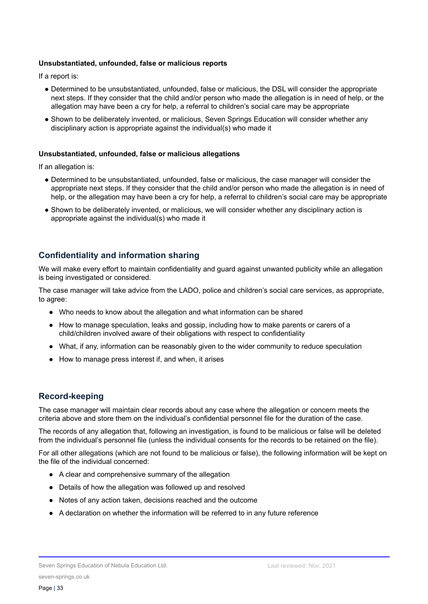#### **Unsubstantiated, unfounded, false or malicious reports**

If a report is:

- Determined to be unsubstantiated, unfounded, false or malicious, the DSL will consider the appropriate next steps. If they consider that the child and/or person who made the allegation is in need of help, or the allegation may have been a cry for help, a referral to children's social care may be appropriate
- Shown to be deliberately invented, or malicious, Seven Springs Education will consider whether any disciplinary action is appropriate against the individual(s) who made it

#### **Unsubstantiated, unfounded, false or malicious allegations**

If an allegation is:

- Determined to be unsubstantiated, unfounded, false or malicious, the case manager will consider the appropriate next steps. If they consider that the child and/or person who made the allegation is in need of help, or the allegation may have been a cry for help, a referral to children's social care may be appropriate
- Shown to be deliberately invented, or malicious, we will consider whether any disciplinary action is appropriate against the individual(s) who made it

#### **Confidentiality and information sharing**

We will make every effort to maintain confidentiality and guard against unwanted publicity while an allegation is being investigated or considered.

The case manager will take advice from the LADO, police and children's social care services, as appropriate, to agree:

- Who needs to know about the allegation and what information can be shared
- How to manage speculation, leaks and gossip, including how to make parents or carers of a child/children involved aware of their obligations with respect to confidentiality
- What, if any, information can be reasonably given to the wider community to reduce speculation
- How to manage press interest if, and when, it arises

#### **Record-keeping**

The case manager will maintain clear records about any case where the allegation or concern meets the criteria above and store them on the individual's confidential personnel file for the duration of the case.

The records of any allegation that, following an investigation, is found to be malicious or false will be deleted from the individual's personnel file (unless the individual consents for the records to be retained on the file).

For all other allegations (which are not found to be malicious or false), the following information will be kept on the file of the individual concerned:

- A clear and comprehensive summary of the allegation
- Details of how the allegation was followed up and resolved
- Notes of any action taken, decisions reached and the outcome
- A declaration on whether the information will be referred to in any future reference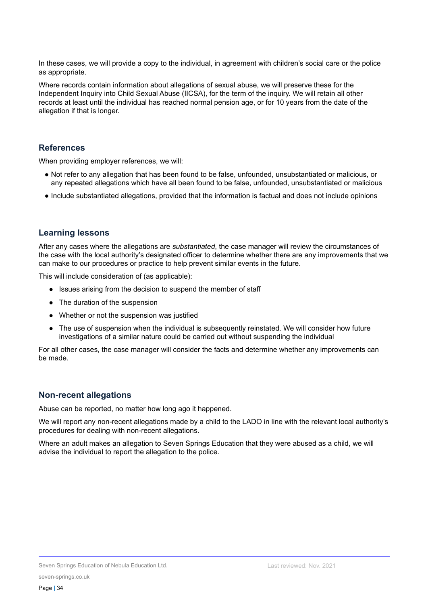In these cases, we will provide a copy to the individual, in agreement with children's social care or the police as appropriate.

Where records contain information about allegations of sexual abuse, we will preserve these for the Independent Inquiry into Child Sexual Abuse (IICSA), for the term of the inquiry. We will retain all other records at least until the individual has reached normal pension age, or for 10 years from the date of the allegation if that is longer.

#### **References**

When providing employer references, we will:

- Not refer to any allegation that has been found to be false, unfounded, unsubstantiated or malicious, or any repeated allegations which have all been found to be false, unfounded, unsubstantiated or malicious
- Include substantiated allegations, provided that the information is factual and does not include opinions

#### **Learning lessons**

After any cases where the allegations are *substantiated*, the case manager will review the circumstances of the case with the local authority's designated officer to determine whether there are any improvements that we can make to our procedures or practice to help prevent similar events in the future.

This will include consideration of (as applicable):

- Issues arising from the decision to suspend the member of staff
- The duration of the suspension
- Whether or not the suspension was justified
- The use of suspension when the individual is subsequently reinstated. We will consider how future investigations of a similar nature could be carried out without suspending the individual

For all other cases, the case manager will consider the facts and determine whether any improvements can be made.

#### **Non-recent allegations**

Abuse can be reported, no matter how long ago it happened.

We will report any non-recent allegations made by a child to the LADO in line with the relevant local authority's procedures for dealing with non-recent allegations.

Where an adult makes an allegation to Seven Springs Education that they were abused as a child, we will advise the individual to report the allegation to the police.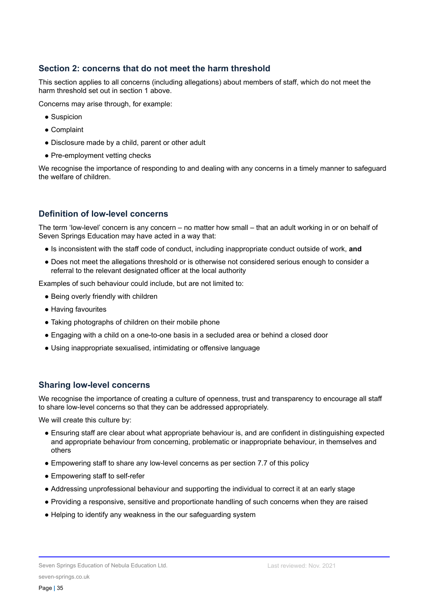#### **Section 2: concerns that do not meet the harm threshold**

This section applies to all concerns (including allegations) about members of staff, which do not meet the harm threshold set out in section 1 above.

Concerns may arise through, for example:

- Suspicion
- Complaint
- Disclosure made by a child, parent or other adult
- Pre-employment vetting checks

We recognise the importance of responding to and dealing with any concerns in a timely manner to safeguard the welfare of children.

## **Definition of low-level concerns**

The term 'low-level' concern is any concern – no matter how small – that an adult working in or on behalf of Seven Springs Education may have acted in a way that:

- Is inconsistent with the staff code of conduct, including inappropriate conduct outside of work, **and**
- Does not meet the allegations threshold or is otherwise not considered serious enough to consider a referral to the relevant designated officer at the local authority

Examples of such behaviour could include, but are not limited to:

- Being overly friendly with children
- Having favourites
- Taking photographs of children on their mobile phone
- Engaging with a child on a one-to-one basis in a secluded area or behind a closed door
- Using inappropriate sexualised, intimidating or offensive language

#### **Sharing low-level concerns**

We recognise the importance of creating a culture of openness, trust and transparency to encourage all staff to share low-level concerns so that they can be addressed appropriately.

We will create this culture by:

- Ensuring staff are clear about what appropriate behaviour is, and are confident in distinguishing expected and appropriate behaviour from concerning, problematic or inappropriate behaviour, in themselves and others
- Empowering staff to share any low-level concerns as per section 7.7 of this policy
- Empowering staff to self-refer
- Addressing unprofessional behaviour and supporting the individual to correct it at an early stage
- Providing a responsive, sensitive and proportionate handling of such concerns when they are raised
- Helping to identify any weakness in the our safeguarding system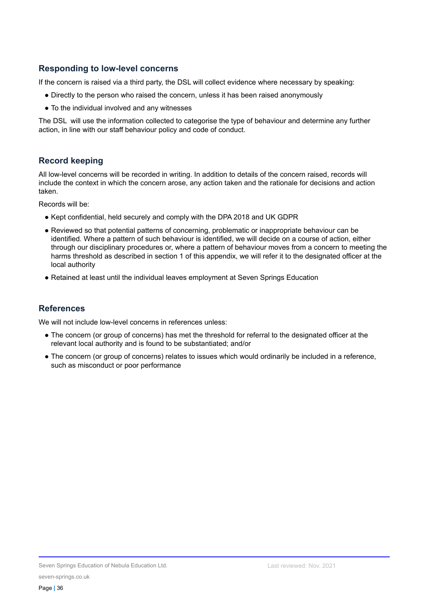#### **Responding to low-level concerns**

If the concern is raised via a third party, the DSL will collect evidence where necessary by speaking:

- Directly to the person who raised the concern, unless it has been raised anonymously
- To the individual involved and any witnesses

The DSL will use the information collected to categorise the type of behaviour and determine any further action, in line with our staff behaviour policy and code of conduct.

## **Record keeping**

All low-level concerns will be recorded in writing. In addition to details of the concern raised, records will include the context in which the concern arose, any action taken and the rationale for decisions and action taken.

Records will be:

- Kept confidential, held securely and comply with the DPA 2018 and UK GDPR
- Reviewed so that potential patterns of concerning, problematic or inappropriate behaviour can be identified. Where a pattern of such behaviour is identified, we will decide on a course of action, either through our disciplinary procedures or, where a pattern of behaviour moves from a concern to meeting the harms threshold as described in section 1 of this appendix, we will refer it to the designated officer at the local authority
- Retained at least until the individual leaves employment at Seven Springs Education

## **References**

We will not include low-level concerns in references unless:

- The concern (or group of concerns) has met the threshold for referral to the designated officer at the relevant local authority and is found to be substantiated; and/or
- The concern (or group of concerns) relates to issues which would ordinarily be included in a reference, such as misconduct or poor performance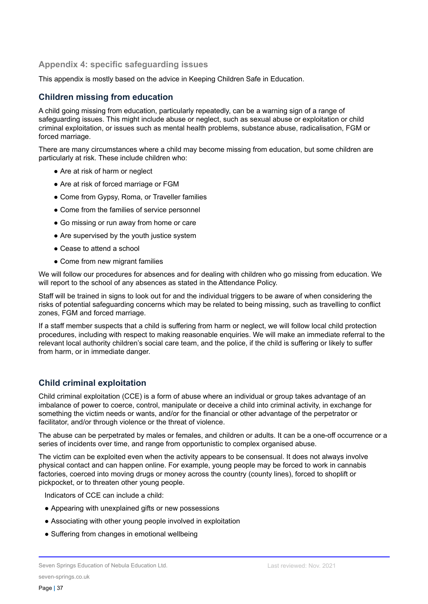#### **Appendix 4: specific safeguarding issues**

This appendix is mostly based on the advice in Keeping Children Safe in Education.

## **Children missing from education**

A child going missing from education, particularly repeatedly, can be a warning sign of a range of safeguarding issues. This might include abuse or neglect, such as sexual abuse or exploitation or child criminal exploitation, or issues such as mental health problems, substance abuse, radicalisation, FGM or forced marriage.

There are many circumstances where a child may become missing from education, but some children are particularly at risk. These include children who:

- Are at risk of harm or neglect
- Are at risk of forced marriage or FGM
- Come from Gypsy, Roma, or Traveller families
- Come from the families of service personnel
- Go missing or run away from home or care
- Are supervised by the youth justice system
- Cease to attend a school
- Come from new migrant families

We will follow our procedures for absences and for dealing with children who go missing from education. We will report to the school of any absences as stated in the Attendance Policy.

Staff will be trained in signs to look out for and the individual triggers to be aware of when considering the risks of potential safeguarding concerns which may be related to being missing, such as travelling to conflict zones, FGM and forced marriage.

If a staff member suspects that a child is suffering from harm or neglect, we will follow local child protection procedures, including with respect to making reasonable enquiries. We will make an immediate referral to the relevant local authority children's social care team, and the police, if the child is suffering or likely to suffer from harm, or in immediate danger.

## **Child criminal exploitation**

Child criminal exploitation (CCE) is a form of abuse where an individual or group takes advantage of an imbalance of power to coerce, control, manipulate or deceive a child into criminal activity, in exchange for something the victim needs or wants, and/or for the financial or other advantage of the perpetrator or facilitator, and/or through violence or the threat of violence.

The abuse can be perpetrated by males or females, and children or adults. It can be a one-off occurrence or a series of incidents over time, and range from opportunistic to complex organised abuse.

The victim can be exploited even when the activity appears to be consensual. It does not always involve physical contact and can happen online. For example, young people may be forced to work in cannabis factories, coerced into moving drugs or money across the country (county lines), forced to shoplift or pickpocket, or to threaten other young people.

Indicators of CCE can include a child:

- Appearing with unexplained gifts or new possessions
- Associating with other young people involved in exploitation
- Suffering from changes in emotional wellbeing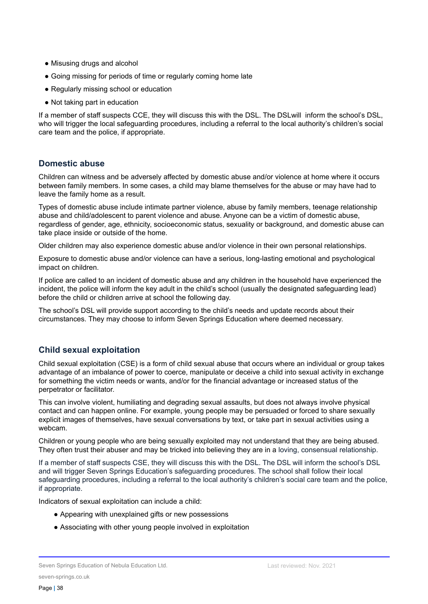- Misusing drugs and alcohol
- Going missing for periods of time or regularly coming home late
- Regularly missing school or education
- Not taking part in education

If a member of staff suspects CCE, they will discuss this with the DSL. The DSLwill inform the school's DSL, who will trigger the local safeguarding procedures, including a referral to the local authority's children's social care team and the police, if appropriate.

#### **Domestic abuse**

Children can witness and be adversely affected by domestic abuse and/or violence at home where it occurs between family members. In some cases, a child may blame themselves for the abuse or may have had to leave the family home as a result.

Types of domestic abuse include intimate partner violence, abuse by family members, teenage relationship abuse and child/adolescent to parent violence and abuse. Anyone can be a victim of domestic abuse, regardless of gender, age, ethnicity, socioeconomic status, sexuality or background, and domestic abuse can take place inside or outside of the home.

Older children may also experience domestic abuse and/or violence in their own personal relationships.

Exposure to domestic abuse and/or violence can have a serious, long-lasting emotional and psychological impact on children.

If police are called to an incident of domestic abuse and any children in the household have experienced the incident, the police will inform the key adult in the child's school (usually the designated safeguarding lead) before the child or children arrive at school the following day.

The school's DSL will provide support according to the child's needs and update records about their circumstances. They may choose to inform Seven Springs Education where deemed necessary.

## **Child sexual exploitation**

Child sexual exploitation (CSE) is a form of child sexual abuse that occurs where an individual or group takes advantage of an imbalance of power to coerce, manipulate or deceive a child into sexual activity in exchange for something the victim needs or wants, and/or for the financial advantage or increased status of the perpetrator or facilitator.

This can involve violent, humiliating and degrading sexual assaults, but does not always involve physical contact and can happen online. For example, young people may be persuaded or forced to share sexually explicit images of themselves, have sexual conversations by text, or take part in sexual activities using a webcam.

Children or young people who are being sexually exploited may not understand that they are being abused. They often trust their abuser and may be tricked into believing they are in a loving, consensual relationship.

If a member of staff suspects CSE, they will discuss this with the DSL. The DSL will inform the school's DSL and will trigger Seven Springs Education's safeguarding procedures. The school shall follow their local safeguarding procedures, including a referral to the local authority's children's social care team and the police, if appropriate.

Indicators of sexual exploitation can include a child:

- Appearing with unexplained gifts or new possessions
- Associating with other young people involved in exploitation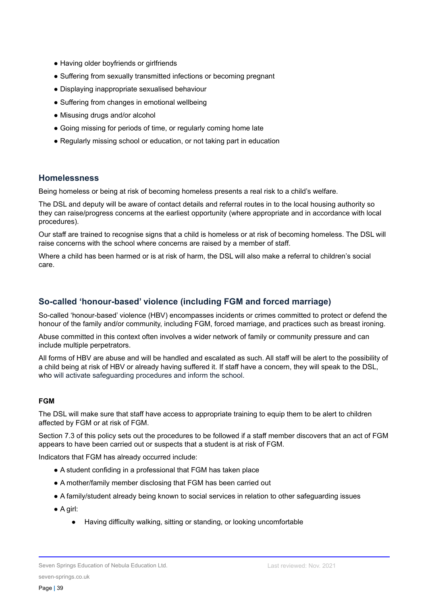- Having older boyfriends or girlfriends
- Suffering from sexually transmitted infections or becoming pregnant
- Displaying inappropriate sexualised behaviour
- Suffering from changes in emotional wellbeing
- Misusing drugs and/or alcohol
- Going missing for periods of time, or regularly coming home late
- Regularly missing school or education, or not taking part in education

#### **Homelessness**

Being homeless or being at risk of becoming homeless presents a real risk to a child's welfare.

The DSL and deputy will be aware of contact details and referral routes in to the local housing authority so they can raise/progress concerns at the earliest opportunity (where appropriate and in accordance with local procedures).

Our staff are trained to recognise signs that a child is homeless or at risk of becoming homeless. The DSL will raise concerns with the school where concerns are raised by a member of staff.

Where a child has been harmed or is at risk of harm, the DSL will also make a referral to children's social care.

#### **So-called 'honour-based' violence (including FGM and forced marriage)**

So-called 'honour-based' violence (HBV) encompasses incidents or crimes committed to protect or defend the honour of the family and/or community, including FGM, forced marriage, and practices such as breast ironing.

Abuse committed in this context often involves a wider network of family or community pressure and can include multiple perpetrators.

All forms of HBV are abuse and will be handled and escalated as such. All staff will be alert to the possibility of a child being at risk of HBV or already having suffered it. If staff have a concern, they will speak to the DSL, who will activate safeguarding procedures and inform the school.

#### **FGM**

The DSL will make sure that staff have access to appropriate training to equip them to be alert to children affected by FGM or at risk of FGM.

Section 7.3 of this policy sets out the procedures to be followed if a staff member discovers that an act of FGM appears to have been carried out or suspects that a student is at risk of FGM.

Indicators that FGM has already occurred include:

- A student confiding in a professional that FGM has taken place
- A mother/family member disclosing that FGM has been carried out
- A family/student already being known to social services in relation to other safeguarding issues
- A girl:
	- Having difficulty walking, sitting or standing, or looking uncomfortable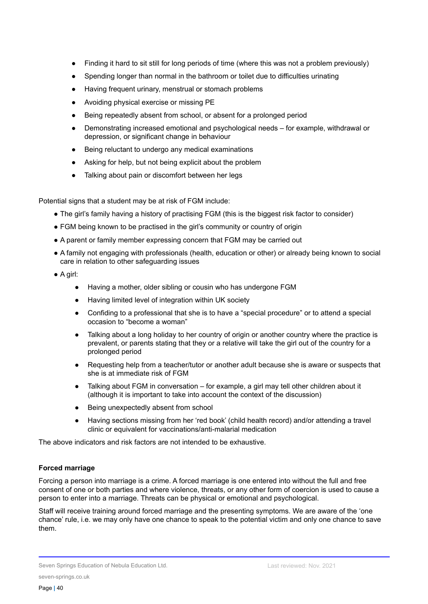- Finding it hard to sit still for long periods of time (where this was not a problem previously)
- Spending longer than normal in the bathroom or toilet due to difficulties urinating
- Having frequent urinary, menstrual or stomach problems
- Avoiding physical exercise or missing PE
- Being repeatedly absent from school, or absent for a prolonged period
- Demonstrating increased emotional and psychological needs for example, withdrawal or depression, or significant change in behaviour
- Being reluctant to undergo any medical examinations
- Asking for help, but not being explicit about the problem
- Talking about pain or discomfort between her legs

Potential signs that a student may be at risk of FGM include:

- The girl's family having a history of practising FGM (this is the biggest risk factor to consider)
- FGM being known to be practised in the girl's community or country of origin
- A parent or family member expressing concern that FGM may be carried out
- A family not engaging with professionals (health, education or other) or already being known to social care in relation to other safeguarding issues
- A girl:
	- Having a mother, older sibling or cousin who has undergone FGM
	- Having limited level of integration within UK society
	- Confiding to a professional that she is to have a "special procedure" or to attend a special occasion to "become a woman"
	- Talking about a long holiday to her country of origin or another country where the practice is prevalent, or parents stating that they or a relative will take the girl out of the country for a prolonged period
	- Requesting help from a teacher/tutor or another adult because she is aware or suspects that she is at immediate risk of FGM
	- Talking about FGM in conversation for example, a girl may tell other children about it (although it is important to take into account the context of the discussion)
	- Being unexpectedly absent from school
	- Having sections missing from her 'red book' (child health record) and/or attending a travel clinic or equivalent for vaccinations/anti-malarial medication

The above indicators and risk factors are not intended to be exhaustive.

#### **Forced marriage**

Forcing a person into marriage is a crime. A forced marriage is one entered into without the full and free consent of one or both parties and where violence, threats, or any other form of coercion is used to cause a person to enter into a marriage. Threats can be physical or emotional and psychological.

Staff will receive training around forced marriage and the presenting symptoms. We are aware of the 'one chance' rule, i.e. we may only have one chance to speak to the potential victim and only one chance to save them.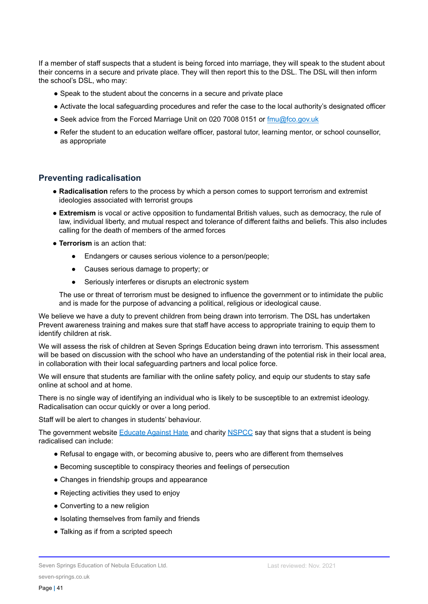If a member of staff suspects that a student is being forced into marriage, they will speak to the student about their concerns in a secure and private place. They will then report this to the DSL. The DSL will then inform the school's DSL, who may:

- Speak to the student about the concerns in a secure and private place
- Activate the local safeguarding procedures and refer the case to the local authority's designated officer
- Seek advice from the Forced Marriage Unit on 020 7008 0151 or [fmu@fco.gov.uk](mailto:fmu@fco.gov.uk)
- Refer the student to an education welfare officer, pastoral tutor, learning mentor, or school counsellor, as appropriate

#### **Preventing radicalisation**

- **Radicalisation** refers to the process by which a person comes to support terrorism and extremist ideologies associated with terrorist groups
- **Extremism** is vocal or active opposition to fundamental British values, such as democracy, the rule of law, individual liberty, and mutual respect and tolerance of different faiths and beliefs. This also includes calling for the death of members of the armed forces
- **Terrorism** is an action that:
	- Endangers or causes serious violence to a person/people;
	- Causes serious damage to property; or
	- Seriously interferes or disrupts an electronic system

The use or threat of terrorism must be designed to influence the government or to intimidate the public and is made for the purpose of advancing a political, religious or ideological cause.

We believe we have a duty to prevent children from being drawn into terrorism. The DSL has undertaken Prevent awareness training and makes sure that staff have access to appropriate training to equip them to identify children at risk.

We will assess the risk of children at Seven Springs Education being drawn into terrorism. This assessment will be based on discussion with the school who have an understanding of the potential risk in their local area, in collaboration with their local safeguarding partners and local police force.

We will ensure that students are familiar with the online safety policy, and equip our students to stay safe online at school and at home.

There is no single way of identifying an individual who is likely to be susceptible to an extremist ideology. Radicalisation can occur quickly or over a long period.

Staff will be alert to changes in students' behaviour.

The government website [Educate](http://educateagainsthate.com/parents/what-are-the-warning-signs/) Against Hate and charity [NSPCC](https://www.nspcc.org.uk/what-you-can-do/report-abuse/dedicated-helplines/protecting-children-from-radicalisation/) say that signs that a student is being radicalised can include:

- Refusal to engage with, or becoming abusive to, peers who are different from themselves
- Becoming susceptible to conspiracy theories and feelings of persecution
- Changes in friendship groups and appearance
- Rejecting activities they used to enjoy
- Converting to a new religion
- Isolating themselves from family and friends
- Talking as if from a scripted speech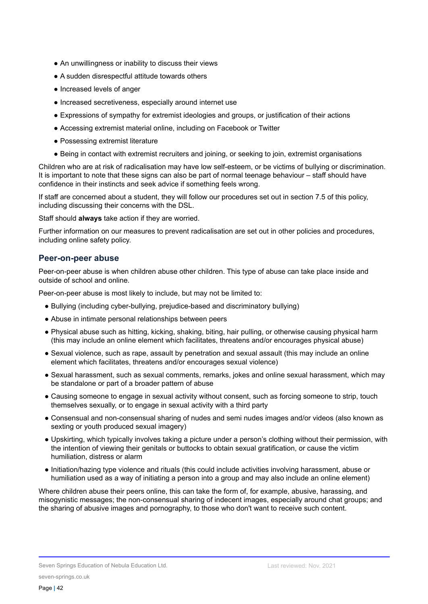- An unwillingness or inability to discuss their views
- A sudden disrespectful attitude towards others
- Increased levels of anger
- Increased secretiveness, especially around internet use
- Expressions of sympathy for extremist ideologies and groups, or justification of their actions
- Accessing extremist material online, including on Facebook or Twitter
- Possessing extremist literature
- Being in contact with extremist recruiters and joining, or seeking to join, extremist organisations

Children who are at risk of radicalisation may have low self-esteem, or be victims of bullying or discrimination. It is important to note that these signs can also be part of normal teenage behaviour – staff should have confidence in their instincts and seek advice if something feels wrong.

If staff are concerned about a student, they will follow our procedures set out in section 7.5 of this policy, including discussing their concerns with the DSL.

Staff should **always** take action if they are worried.

Further information on our measures to prevent radicalisation are set out in other policies and procedures, including online safety policy.

#### **Peer-on-peer abuse**

Peer-on-peer abuse is when children abuse other children. This type of abuse can take place inside and outside of school and online.

Peer-on-peer abuse is most likely to include, but may not be limited to:

- Bullying (including cyber-bullying, prejudice-based and discriminatory bullying)
- Abuse in intimate personal relationships between peers
- Physical abuse such as hitting, kicking, shaking, biting, hair pulling, or otherwise causing physical harm (this may include an online element which facilitates, threatens and/or encourages physical abuse)
- Sexual violence, such as rape, assault by penetration and sexual assault (this may include an online element which facilitates, threatens and/or encourages sexual violence)
- Sexual harassment, such as sexual comments, remarks, jokes and online sexual harassment, which may be standalone or part of a broader pattern of abuse
- Causing someone to engage in sexual activity without consent, such as forcing someone to strip, touch themselves sexually, or to engage in sexual activity with a third party
- Consensual and non-consensual sharing of nudes and semi nudes images and/or videos (also known as sexting or youth produced sexual imagery)
- Upskirting, which typically involves taking a picture under a person's clothing without their permission, with the intention of viewing their genitals or buttocks to obtain sexual gratification, or cause the victim humiliation, distress or alarm
- Initiation/hazing type violence and rituals (this could include activities involving harassment, abuse or humiliation used as a way of initiating a person into a group and may also include an online element)

Where children abuse their peers online, this can take the form of, for example, abusive, harassing, and misogynistic messages; the non-consensual sharing of indecent images, especially around chat groups; and the sharing of abusive images and pornography, to those who don't want to receive such content.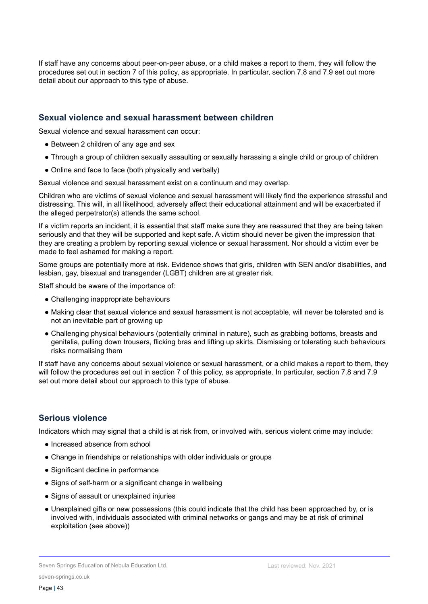If staff have any concerns about peer-on-peer abuse, or a child makes a report to them, they will follow the procedures set out in section 7 of this policy, as appropriate. In particular, section 7.8 and 7.9 set out more detail about our approach to this type of abuse.

#### **Sexual violence and sexual harassment between children**

Sexual violence and sexual harassment can occur:

- Between 2 children of any age and sex
- Through a group of children sexually assaulting or sexually harassing a single child or group of children
- Online and face to face (both physically and verbally)

Sexual violence and sexual harassment exist on a continuum and may overlap.

Children who are victims of sexual violence and sexual harassment will likely find the experience stressful and distressing. This will, in all likelihood, adversely affect their educational attainment and will be exacerbated if the alleged perpetrator(s) attends the same school.

If a victim reports an incident, it is essential that staff make sure they are reassured that they are being taken seriously and that they will be supported and kept safe. A victim should never be given the impression that they are creating a problem by reporting sexual violence or sexual harassment. Nor should a victim ever be made to feel ashamed for making a report.

Some groups are potentially more at risk. Evidence shows that girls, children with SEN and/or disabilities, and lesbian, gay, bisexual and transgender (LGBT) children are at greater risk.

Staff should be aware of the importance of:

- Challenging inappropriate behaviours
- Making clear that sexual violence and sexual harassment is not acceptable, will never be tolerated and is not an inevitable part of growing up
- Challenging physical behaviours (potentially criminal in nature), such as grabbing bottoms, breasts and genitalia, pulling down trousers, flicking bras and lifting up skirts. Dismissing or tolerating such behaviours risks normalising them

If staff have any concerns about sexual violence or sexual harassment, or a child makes a report to them, they will follow the procedures set out in section 7 of this policy, as appropriate. In particular, section 7.8 and 7.9 set out more detail about our approach to this type of abuse.

## **Serious violence**

Indicators which may signal that a child is at risk from, or involved with, serious violent crime may include:

- Increased absence from school
- Change in friendships or relationships with older individuals or groups
- Significant decline in performance
- Signs of self-harm or a significant change in wellbeing
- Signs of assault or unexplained injuries
- Unexplained gifts or new possessions (this could indicate that the child has been approached by, or is involved with, individuals associated with criminal networks or gangs and may be at risk of criminal exploitation (see above))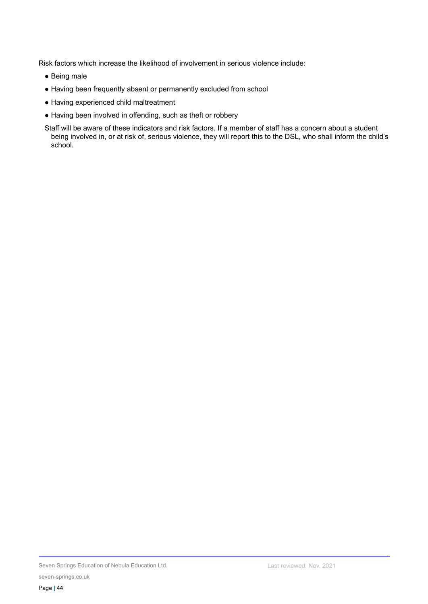Risk factors which increase the likelihood of involvement in serious violence include:

- Being male
- Having been frequently absent or permanently excluded from school
- Having experienced child maltreatment
- Having been involved in offending, such as theft or robbery

Staff will be aware of these indicators and risk factors. If a member of staff has a concern about a student being involved in, or at risk of, serious violence, they will report this to the DSL, who shall inform the child's school.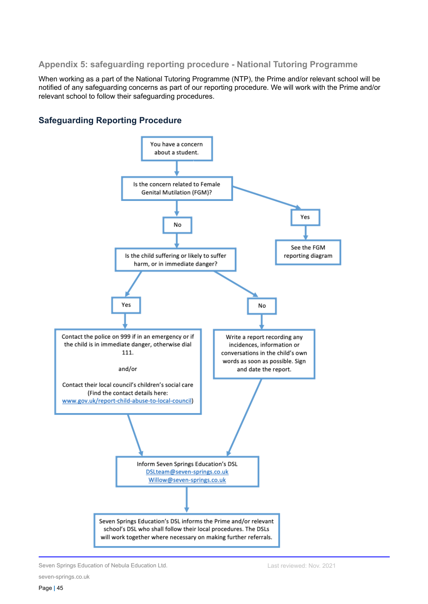#### **Appendix 5: safeguarding reporting procedure - National Tutoring Programme**

When working as a part of the National Tutoring Programme (NTP), the Prime and/or relevant school will be notified of any safeguarding concerns as part of our reporting procedure. We will work with the Prime and/or relevant school to follow their safeguarding procedures.

## **Safeguarding Reporting Procedure**



Seven Springs Education of Nebula Education Ltd.

seven-springs.co.uk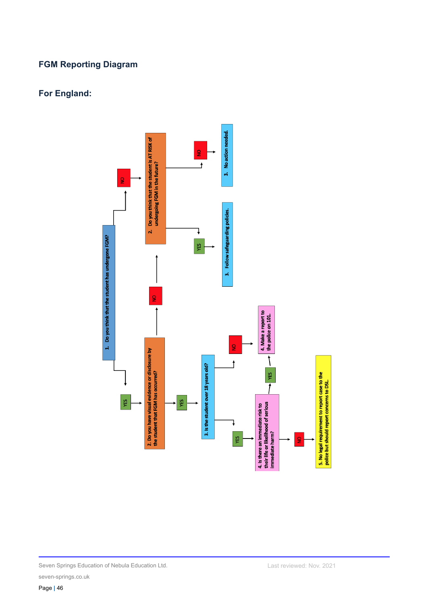## **FGM Reporting Diagram**

## **For England:**